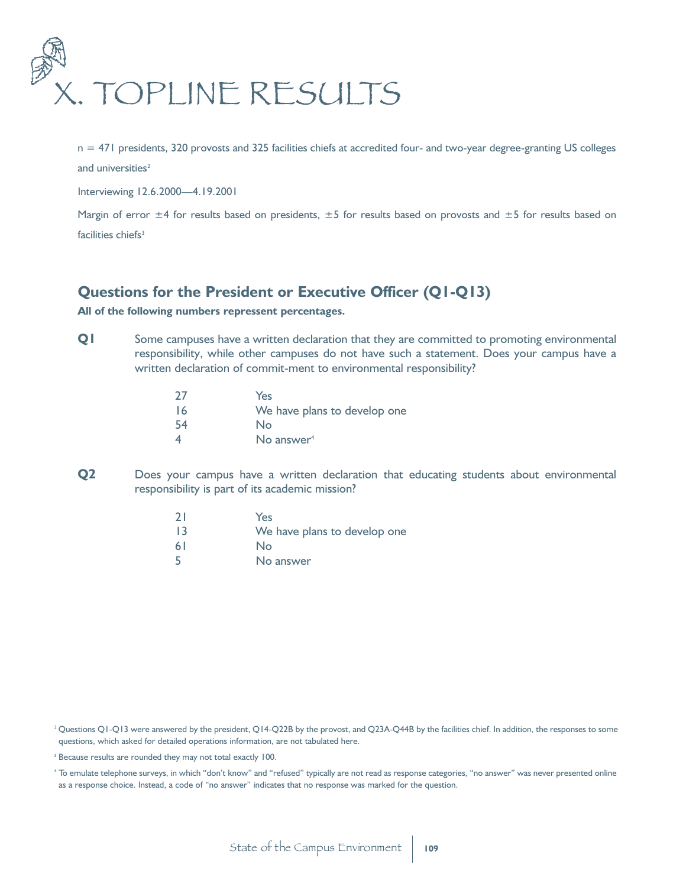

n = 471 presidents, 320 provosts and 325 facilities chiefs at accredited four- and two-year degree-granting US colleges and universities<sup>2</sup>

Interviewing 12.6.2000—4.19.2001

Margin of error  $\pm 4$  for results based on presidents,  $\pm 5$  for results based on provosts and  $\pm 5$  for results based on facilities chiefs<sup>3</sup>

## **Questions for the President or Executive Officer (Q1-Q13)**

**All of the following numbers repressent percentages.**

**Q1** Some campuses have a written declaration that they are committed to promoting environmental responsibility, while other campuses do not have such a statement. Does your campus have a written declaration of commit-ment to environmental responsibility?

| 27  | Yes                          |
|-----|------------------------------|
| 16  | We have plans to develop one |
| -54 | No                           |
|     | No answer <sup>4</sup>       |

- **Q2** Does your campus have a written declaration that educating students about environmental responsibility is part of its academic mission?
	- 21 Yes
	- 13 We have plans to develop one
	- 61 No
	- 5 No answer

<sup>2</sup> Questions Q1-Q13 were answered by the president, Q14-Q22B by the provost, and Q23A-Q44B by the facilities chief. In addition, the responses to some questions, which asked for detailed operations information, are not tabulated here.

<sup>3</sup> Because results are rounded they may not total exactly 100.

<sup>4</sup> To emulate telephone surveys, in which "don't know" and "refused" typically are not read as response categories, "no answer" was never presented online as a response choice. Instead, a code of "no answer" indicates that no response was marked for the question.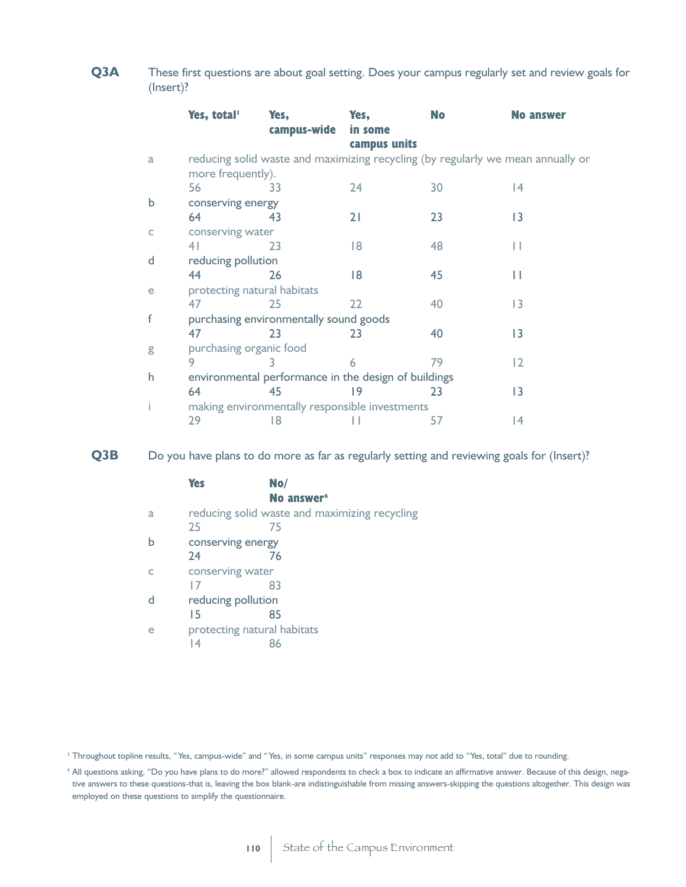**Q3A** These first questions are about goal setting. Does your campus regularly set and review goals for (Insert)?

|   | Yes, total <sup>s</sup>                              | Yes,<br>campus-wide                    | Yes,<br>in some<br>campus units                | <b>No</b> | <b>No answer</b>                                                                |  |
|---|------------------------------------------------------|----------------------------------------|------------------------------------------------|-----------|---------------------------------------------------------------------------------|--|
| a | more frequently).                                    |                                        |                                                |           | reducing solid waste and maximizing recycling (by regularly we mean annually or |  |
|   | 56                                                   | 33                                     | 24                                             | 30        | 14                                                                              |  |
| b | conserving energy                                    |                                        |                                                |           |                                                                                 |  |
|   | 64                                                   | 43                                     | 21                                             | 23        | 13                                                                              |  |
| C | conserving water                                     |                                        |                                                |           |                                                                                 |  |
|   | 4 <sup>1</sup>                                       | 23                                     | 8                                              | 48        | Н                                                                               |  |
| d | reducing pollution                                   |                                        |                                                |           |                                                                                 |  |
|   | 44                                                   | 26                                     | 18                                             | 45        | П                                                                               |  |
| e | protecting natural habitats                          |                                        |                                                |           |                                                                                 |  |
|   | 47                                                   | 25                                     | 22                                             | 40        | $\overline{13}$                                                                 |  |
| f |                                                      | purchasing environmentally sound goods |                                                |           |                                                                                 |  |
|   | 47                                                   | 23                                     | 23                                             | 40        | 13                                                                              |  |
| g | purchasing organic food                              |                                        |                                                |           |                                                                                 |  |
|   | 9                                                    | 3                                      | 6                                              | 79        | 12                                                                              |  |
| h | environmental performance in the design of buildings |                                        |                                                |           |                                                                                 |  |
|   | 64                                                   | 45                                     | 19                                             | 23        | 13                                                                              |  |
| Ť |                                                      |                                        | making environmentally responsible investments |           |                                                                                 |  |
|   | 29                                                   | 18                                     |                                                | 57        | 14                                                                              |  |

**Q3B** Do you have plans to do more as far as regularly setting and reviewing goals for (Insert)?

|   | Yes                | No/                         |                                               |
|---|--------------------|-----------------------------|-----------------------------------------------|
|   |                    | No answer <sup>6</sup>      |                                               |
| a |                    |                             | reducing solid waste and maximizing recycling |
|   | 25                 | 75                          |                                               |
| h | conserving energy  |                             |                                               |
|   | 24                 | 76                          |                                               |
|   | conserving water   |                             |                                               |
|   | 17                 | 83                          |                                               |
|   | reducing pollution |                             |                                               |
|   | 15                 | 85                          |                                               |
| e |                    | protecting natural habitats |                                               |
|   | 14                 | 86                          |                                               |
|   |                    |                             |                                               |

<sup>5</sup> Throughout topline results, "Yes, campus-wide" and "Yes, in some campus units" responses may not add to "Yes, total" due to rounding.

<sup>&</sup>lt;sup>6</sup> All questions asking, "Do you have plans to do more?" allowed respondents to check a box to indicate an affirmative answer. Because of this design, negative answers to these questions-that is, leaving the box blank-are indistinguishable from missing answers-skipping the questions altogether. This design was employed on these questions to simplify the questionnaire.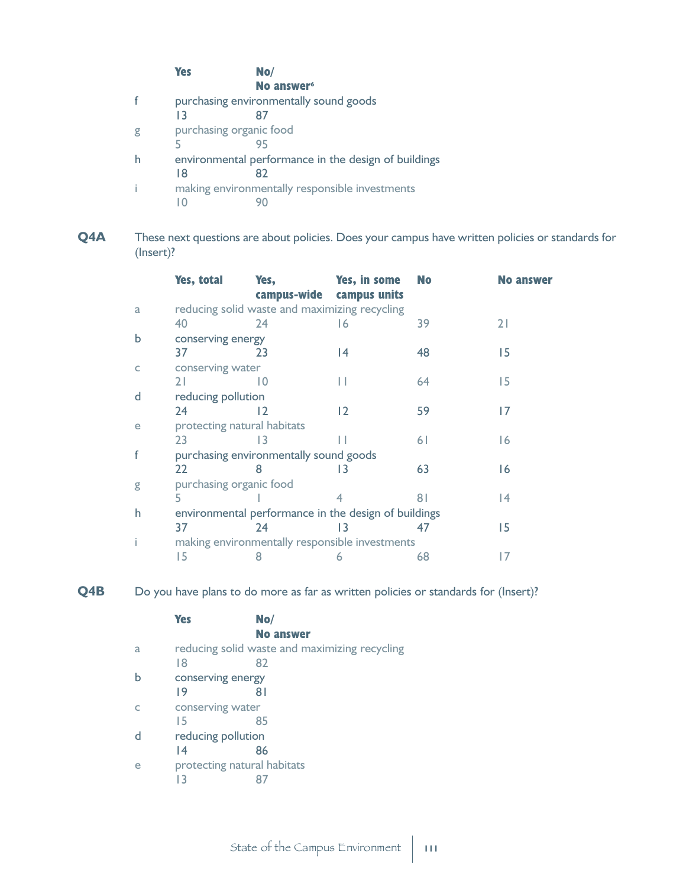|   | <b>Yes</b>              | No/                                                  |
|---|-------------------------|------------------------------------------------------|
|   |                         | No answer <sup>6</sup>                               |
|   |                         | purchasing environmentally sound goods               |
|   | 13                      |                                                      |
| g | purchasing organic food |                                                      |
|   |                         | 95                                                   |
|   |                         | environmental performance in the design of buildings |
|   | 18                      | 82                                                   |
|   |                         | making environmentally responsible investments       |
|   |                         |                                                      |

**Q4A** These next questions are about policies. Does your campus have written policies or standards for (Insert)?

|   | Yes, total                  | Yes,<br>campus-wide                                  | Yes, in some<br>campus units | <b>No</b> | <b>No answer</b> |
|---|-----------------------------|------------------------------------------------------|------------------------------|-----------|------------------|
| a |                             | reducing solid waste and maximizing recycling        |                              |           |                  |
|   | 40                          | 24                                                   | 16                           | 39        | 21               |
| b | conserving energy           |                                                      |                              |           |                  |
|   | 37                          | 23                                                   | 14                           | 48        | 15               |
| C | conserving water            |                                                      |                              |           |                  |
|   | 21                          | 10                                                   | Н                            | 64        | 15               |
| d | reducing pollution          |                                                      |                              |           |                  |
|   | 24                          | 12                                                   | $\overline{2}$               | 59        | 17               |
| e | protecting natural habitats |                                                      |                              |           |                  |
|   | 23                          | 13                                                   |                              | 6 I       | 16               |
| f |                             | purchasing environmentally sound goods               |                              |           |                  |
|   | 22                          | 8                                                    | 13                           | 63        | 16               |
| g | purchasing organic food     |                                                      |                              |           |                  |
|   | 5.                          |                                                      |                              | 81        | 14               |
| h |                             | environmental performance in the design of buildings |                              |           |                  |
|   | 37                          | 24                                                   | 13                           | 47        | 15               |
| Ť |                             | making environmentally responsible investments       |                              |           |                  |
|   | 15                          | 8                                                    | 6                            | 68        | 17               |
|   |                             |                                                      |                              |           |                  |

Q4B Do you have plans to do more as far as written policies or standards for (Insert)?

| <b>Yes</b> | No/                                                                                        |
|------------|--------------------------------------------------------------------------------------------|
|            | No answer                                                                                  |
|            | reducing solid waste and maximizing recycling                                              |
| 18         | 82                                                                                         |
|            |                                                                                            |
| 19         | 81                                                                                         |
|            |                                                                                            |
| 15         | 85                                                                                         |
|            |                                                                                            |
| 4          | 86                                                                                         |
|            |                                                                                            |
| 13         |                                                                                            |
|            | conserving energy<br>conserving water<br>reducing pollution<br>protecting natural habitats |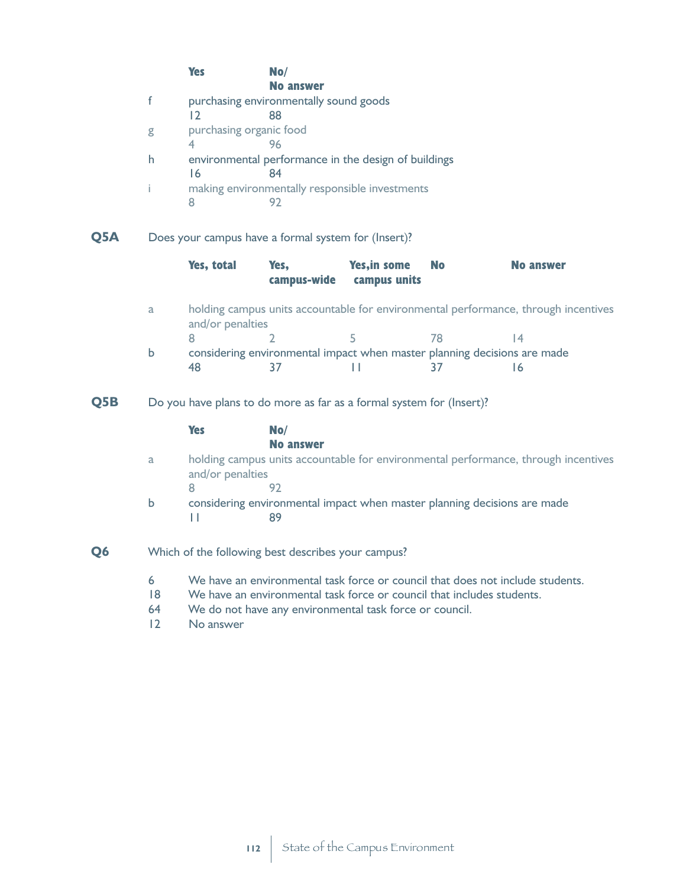|   | <b>Yes</b>              | No/<br><b>No answer</b>                              |
|---|-------------------------|------------------------------------------------------|
|   |                         | purchasing environmentally sound goods               |
|   | 12                      | 88                                                   |
| g | purchasing organic food |                                                      |
|   |                         | 96                                                   |
| h |                         | environmental performance in the design of buildings |
|   | 16                      | 84                                                   |
|   |                         | making environmentally responsible investments       |
|   |                         |                                                      |

# **Q5A** Does your campus have a formal system for (Insert)?

|     |         | Yes, total       | Yes,<br>campus-wide                                                    | <b>Yes, in some</b><br>campus units | <b>No</b> | <b>No answer</b>                                                                   |
|-----|---------|------------------|------------------------------------------------------------------------|-------------------------------------|-----------|------------------------------------------------------------------------------------|
|     | a       | and/or penalties |                                                                        |                                     |           | holding campus units accountable for environmental performance, through incentives |
|     |         | 8                | 2                                                                      | 5                                   | 78        | 4                                                                                  |
|     | b       |                  |                                                                        |                                     |           | considering environmental impact when master planning decisions are made           |
|     |         | 48               | 37                                                                     | ш                                   | 37        | 16                                                                                 |
| Q5B |         |                  | Do you have plans to do more as far as a formal system for (Insert)?   |                                     |           |                                                                                    |
|     |         | <b>Yes</b>       | No/                                                                    |                                     |           |                                                                                    |
|     |         |                  | <b>No answer</b>                                                       |                                     |           |                                                                                    |
|     | a       | and/or penalties |                                                                        |                                     |           | holding campus units accountable for environmental performance, through incentives |
|     |         | 8                | 92                                                                     |                                     |           |                                                                                    |
|     | b       | П                | 89                                                                     |                                     |           | considering environmental impact when master planning decisions are made           |
| Q6  |         |                  | Which of the following best describes your campus?                     |                                     |           |                                                                                    |
|     | 6<br>18 |                  | We have an environmental task force or council that includes students. |                                     |           | We have an environmental task force or council that does not include students.     |
|     | 64      |                  | We do not have any environmental task force or council.                |                                     |           |                                                                                    |

12 No answer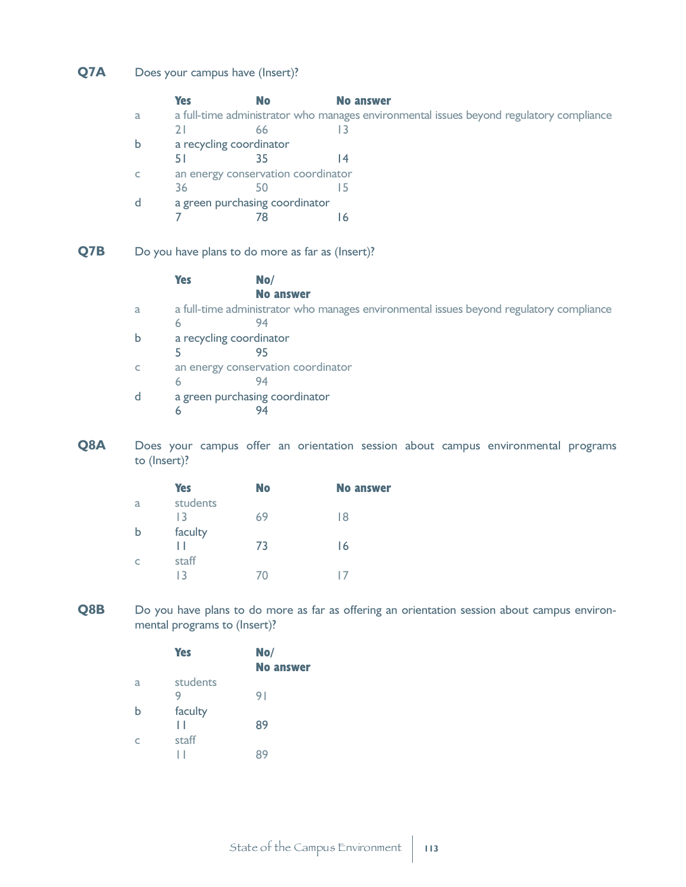**Q7A** Does your campus have (Insert)?

|   | <b>Yes</b>              | No                                 | No answer                                                                               |
|---|-------------------------|------------------------------------|-----------------------------------------------------------------------------------------|
| a |                         |                                    | a full-time administrator who manages environmental issues beyond regulatory compliance |
|   |                         | 66                                 |                                                                                         |
| b | a recycling coordinator |                                    |                                                                                         |
|   |                         | 35                                 |                                                                                         |
|   |                         | an energy conservation coordinator |                                                                                         |
|   | 36                      |                                    |                                                                                         |
| d |                         | a green purchasing coordinator     |                                                                                         |
|   |                         |                                    | 16                                                                                      |
|   |                         |                                    |                                                                                         |

**Q7B** Do you have plans to do more as far as (Insert)?

|              | <b>Yes</b>              | No/                                                                                     |
|--------------|-------------------------|-----------------------------------------------------------------------------------------|
|              |                         | <b>No answer</b>                                                                        |
| a            |                         | a full-time administrator who manages environmental issues beyond regulatory compliance |
|              | 6                       | 94                                                                                      |
| $\mathbf b$  | a recycling coordinator |                                                                                         |
|              |                         |                                                                                         |
| $\mathsf{C}$ |                         | an energy conservation coordinator                                                      |
|              | 6                       |                                                                                         |
| d            |                         | a green purchasing coordinator                                                          |
|              | 6                       |                                                                                         |

**Q8A** Does your campus offer an orientation session about campus environmental programs to (Insert)?

|              | <b>Yes</b>                  | <b>No</b> | <b>No answer</b> |
|--------------|-----------------------------|-----------|------------------|
| a            | students<br>$\overline{13}$ | 69        | 18               |
| $\mathbf b$  | faculty<br>ш                | 73        | 16               |
| $\mathsf{C}$ | staff<br>13                 | 70        |                  |

**Q8B** Do you have plans to do more as far as offering an orientation session about campus environmental programs to (Insert)?

|   | <b>Yes</b> | No/<br><b>No answer</b> |
|---|------------|-------------------------|
| ă | students   |                         |
|   | 9          | 9 <sub>1</sub>          |
| b | faculty    |                         |
|   | Н          | 89                      |
| C | staff      |                         |
|   |            | Rб                      |
|   |            |                         |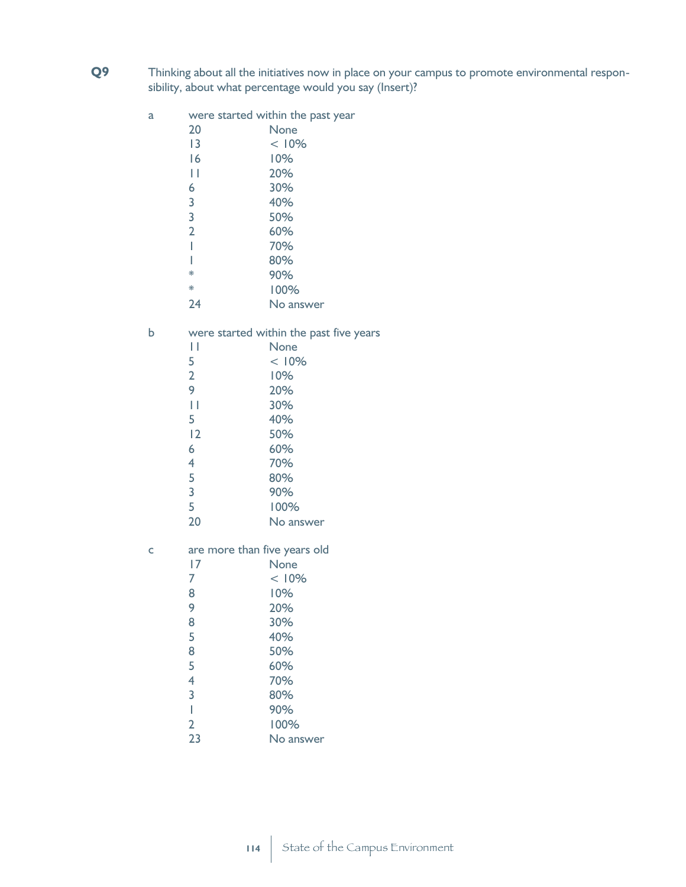- **Q9** Thinking about all the initiatives now in place on your campus to promote environmental responsibility, about what percentage would you say (Insert)?
	- a were started within the past year

| 20 | <b>None</b> |
|----|-------------|
|    |             |

- $13 \t\t 10\%$
- 16 10%<br>11 20% 20%
- 30%
- 40%
- 50%
- 60%
- 70%
- 80%
- $*$  90%  $*$
- \* 100%
- No answer

#### b were started within the past five years

| Н              | None      |
|----------------|-----------|
| 5              | < 10%     |
| $\overline{2}$ | 10%       |
| 9              | 20%       |
| Н              | 30%       |
| 5              | 40%       |
| 12             | 50%       |
| 6              | 60%       |
| $\overline{4}$ | 70%       |
| 5              | 80%       |
| 3              | 90%       |
| 5              | 100%      |
| 20             | No answer |
|                |           |

### c are more than five years old

| 17             | None      |
|----------------|-----------|
| 7              | < 10%     |
| 8              | 10%       |
| 9              | 20%       |
| 8              | 30%       |
| 5              | 40%       |
| 8              | 50%       |
| 5              | 60%       |
| 4              | 70%       |
| 3              | 80%       |
|                | 90%       |
| $\overline{2}$ | 100%      |
| 23             | No answer |
|                |           |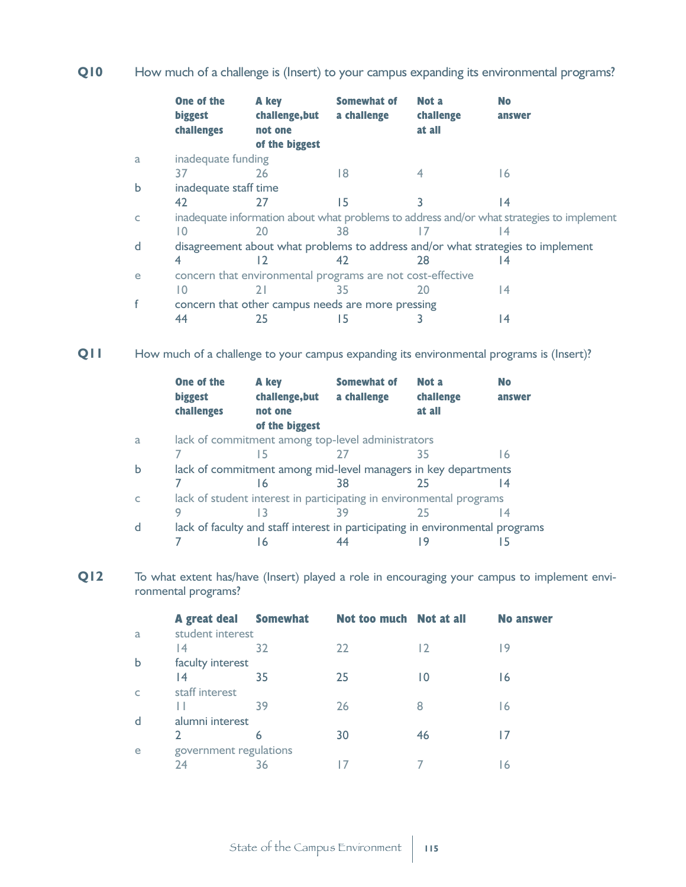**Q10** How much of a challenge is (Insert) to your campus expanding its environmental programs?

|              | <b>One of the</b><br><b>biggest</b><br>challenges                                         | <b>A</b> key<br>challenge, but<br>not one<br>of the biggest | <b>Somewhat of</b><br>a challenge | Not a<br>challenge<br>at all | <b>No</b><br>answer                                                             |
|--------------|-------------------------------------------------------------------------------------------|-------------------------------------------------------------|-----------------------------------|------------------------------|---------------------------------------------------------------------------------|
| a            | inadequate funding                                                                        |                                                             |                                   |                              |                                                                                 |
|              | 37                                                                                        | 26                                                          | 18                                | 4                            | 16                                                                              |
| b            | inadequate staff time                                                                     |                                                             |                                   |                              |                                                                                 |
|              | 42                                                                                        | 27                                                          | 15                                |                              | 14                                                                              |
|              | inadequate information about what problems to address and/or what strategies to implement |                                                             |                                   |                              |                                                                                 |
|              | 10                                                                                        | 20                                                          | 38                                |                              | 14                                                                              |
| $\mathsf{d}$ |                                                                                           |                                                             |                                   |                              | disagreement about what problems to address and/or what strategies to implement |
|              | 4                                                                                         | 12                                                          | 42                                | 28                           | 14                                                                              |
| e            |                                                                                           | concern that environmental programs are not cost-effective  |                                   |                              |                                                                                 |
|              | $\overline{10}$                                                                           | 21                                                          | 35                                | 20                           | 14                                                                              |
|              |                                                                                           | concern that other campus needs are more pressing           |                                   |                              |                                                                                 |
|              | 44                                                                                        | 25                                                          | 15                                | 3                            | 14                                                                              |

**Q11** How much of a challenge to your campus expanding its environmental programs is (Insert)?

|   | <b>One of the</b><br><b>biggest</b> | A key<br>challenge, but                           | <b>Somewhat of</b><br>a challenge | <b>Not a</b><br>challenge                                                     | <b>No</b><br>answer |
|---|-------------------------------------|---------------------------------------------------|-----------------------------------|-------------------------------------------------------------------------------|---------------------|
|   | challenges                          | not one                                           |                                   | at all                                                                        |                     |
|   |                                     | of the biggest                                    |                                   |                                                                               |                     |
| a |                                     | lack of commitment among top-level administrators |                                   |                                                                               |                     |
|   |                                     | 15                                                |                                   | 35                                                                            | 16                  |
| b |                                     |                                                   |                                   | lack of commitment among mid-level managers in key departments                |                     |
|   |                                     | 16                                                | 38                                | 25                                                                            |                     |
| C |                                     |                                                   |                                   | lack of student interest in participating in environmental programs           |                     |
|   |                                     |                                                   | 39                                | 25                                                                            | $\overline{4}$      |
| d |                                     |                                                   |                                   | lack of faculty and staff interest in participating in environmental programs |                     |
|   |                                     | 16                                                |                                   |                                                                               | 15                  |

**Q12** To what extent has/have (Insert) played a role in encouraging your campus to implement environmental programs?

|                | <b>A great deal Somewhat</b> |    | Not too much Not at all |    | <b>No answer</b> |
|----------------|------------------------------|----|-------------------------|----|------------------|
| $\overline{a}$ | student interest             |    |                         |    |                  |
|                | 14                           | 32 | 22                      | 12 | 19               |
| $\mathbf b$    | faculty interest             |    |                         |    |                  |
|                | 14                           | 35 | 25                      | 10 | 16               |
| C              | staff interest               |    |                         |    |                  |
|                |                              | 39 | 26                      |    | 16               |
| d              | alumni interest              |    |                         |    |                  |
|                |                              | 6  | 30                      | 46 |                  |
| e              | government regulations       |    |                         |    |                  |
|                |                              | 36 |                         |    | 6                |
|                |                              |    |                         |    |                  |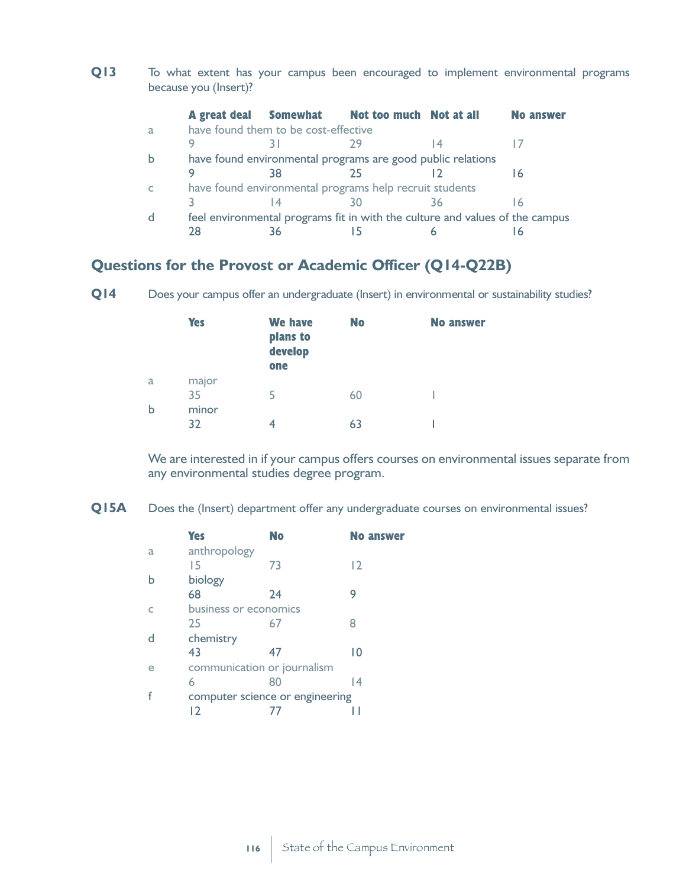**Q13** To what extent has your campus been encouraged to implement environmental programs because you (Insert)?

|                |    | A great deal Somewhat Not too much Not at all                                |    |    | No answer |
|----------------|----|------------------------------------------------------------------------------|----|----|-----------|
| $\overline{a}$ |    | have found them to be cost-effective                                         |    |    |           |
|                |    |                                                                              |    | 14 |           |
| b              |    | have found environmental programs are good public relations                  |    |    |           |
|                |    | 38                                                                           | 25 |    | -6        |
|                |    | have found environmental programs help recruit students                      |    |    |           |
|                |    | 14                                                                           | 30 | 36 | -6        |
| d              |    | feel environmental programs fit in with the culture and values of the campus |    |    |           |
|                | 28 | 36                                                                           |    |    |           |

## **Questions for the Provost or Academic Officer (Q14-Q22B)**

**Q14** Does your campus offer an undergraduate (Insert) in environmental or sustainability studies?

|   | <b>Yes</b>  | <b>We have</b><br>plans to<br>develop<br>one | No | <b>No answer</b> |
|---|-------------|----------------------------------------------|----|------------------|
| a | major<br>35 | 5                                            | 60 |                  |
| b | minor<br>32 |                                              | 63 |                  |

We are interested in if your campus offers courses on environmental issues separate from any environmental studies degree program.

**Q15A** Does the (Insert) department offer any undergraduate courses on environmental issues?

|   | <b>Yes</b>                      | No                          | <b>No answer</b> |  |
|---|---------------------------------|-----------------------------|------------------|--|
| a | anthropology                    |                             |                  |  |
|   | 15                              | 73                          | 2                |  |
| b | biology                         |                             |                  |  |
|   | 68                              | 24                          | 9                |  |
|   |                                 | business or economics       |                  |  |
|   | 25                              | 67                          | 8                |  |
| d | chemistry                       |                             |                  |  |
|   | 43                              | 47                          | $\overline{10}$  |  |
| e |                                 | communication or journalism |                  |  |
|   | 6                               | 80                          | $\overline{14}$  |  |
|   | computer science or engineering |                             |                  |  |
|   | 12                              |                             |                  |  |
|   |                                 |                             |                  |  |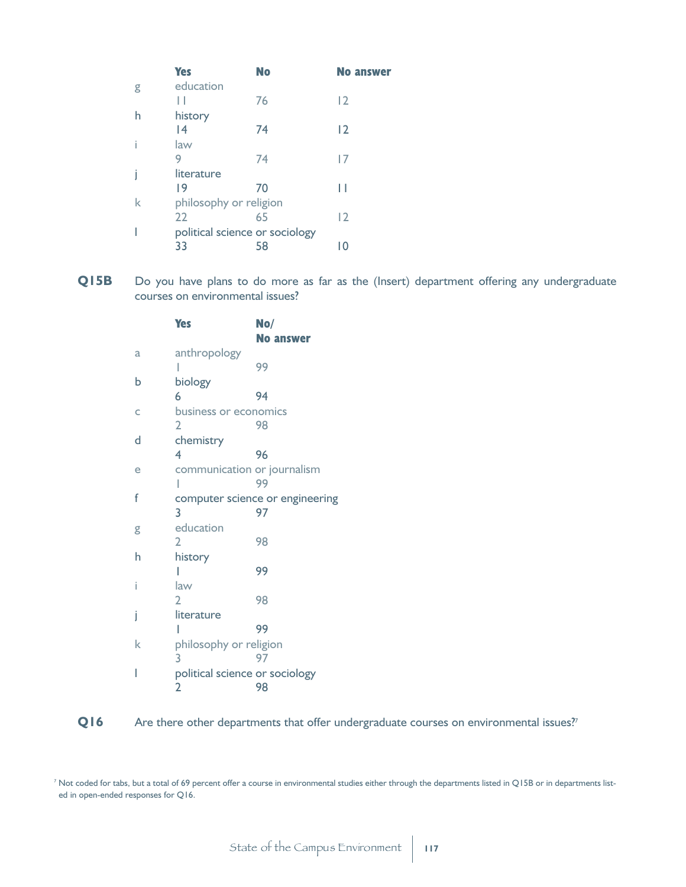|   | <b>Yes</b>                     | <b>No</b> | <b>No answer</b> |
|---|--------------------------------|-----------|------------------|
| g | education                      |           |                  |
|   | Н                              | 76        | 12               |
| h | history                        |           |                  |
|   | 14                             | 74        | $\overline{2}$   |
|   | law                            |           |                  |
|   | 9                              | 74        | 17               |
|   | literature                     |           |                  |
|   | 19                             | 70        | Н                |
| k | philosophy or religion         |           |                  |
|   | 22                             | 65        | $\overline{2}$   |
|   | political science or sociology |           |                  |
|   | 33                             | 58        | 10               |

**Q15B** Do you have plans to do more as far as the (Insert) department offering any undergraduate courses on environmental issues?

|   | <b>Yes</b>                     | No/                             |
|---|--------------------------------|---------------------------------|
|   |                                | <b>No answer</b>                |
| a | anthropology                   |                                 |
|   | ı                              | 99                              |
| b | biology                        |                                 |
|   | 6                              | 94                              |
| Ċ | business or economics          |                                 |
|   | 2                              | 98                              |
| d | chemistry                      |                                 |
|   | 4                              | 96                              |
| e | communication or journalism    |                                 |
|   |                                | 99                              |
| f |                                | computer science or engineering |
|   | 3                              | 97                              |
| g | education                      |                                 |
|   | $\overline{2}$                 | 98                              |
| h | history                        |                                 |
|   | I                              | 99                              |
| i | law                            |                                 |
|   | $\overline{2}$                 | 98                              |
| İ | literature                     |                                 |
|   |                                | 99                              |
| k | philosophy or religion         |                                 |
|   | 3                              | 97                              |
|   | political science or sociology |                                 |
|   | 2                              | 98                              |
|   |                                |                                 |



Q16 Are there other departments that offer undergraduate courses on environmental issues?<sup>7</sup>

<sup>&</sup>lt;sup>7</sup> Not coded for tabs, but a total of 69 percent offer a course in environmental studies either through the departments listed in Q15B or in departments listed in open-ended responses for Q16.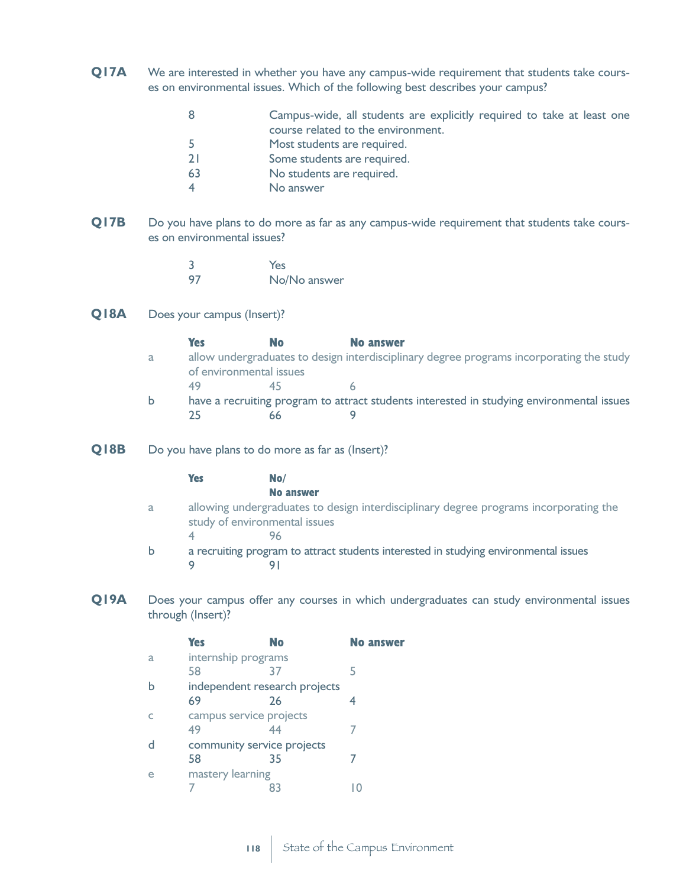- **Q17A** We are interested in whether you have any campus-wide requirement that students take courses on environmental issues. Which of the following best describes your campus?
	- 8 Campus-wide, all students are explicitly required to take at least one course related to the environment.
	- 5 Most students are required.
	- 21 Some students are required.
	- 63 No students are required.
	- 4 No answer
- **Q17B** Do you have plans to do more as far as any campus-wide requirement that students take courses on environmental issues?

| 3  | Yes          |
|----|--------------|
| 97 | No/No answer |

**Q18A** Does your campus (Insert)?

|   | <b>Yes</b>              | No | No answer                                                                                 |
|---|-------------------------|----|-------------------------------------------------------------------------------------------|
| a |                         |    | allow undergraduates to design interdisciplinary degree programs incorporating the study  |
|   | of environmental issues |    |                                                                                           |
|   | 49                      |    |                                                                                           |
| b |                         |    | have a recruiting program to attract students interested in studying environmental issues |
|   |                         | 66 |                                                                                           |

**Q18B** Do you have plans to do more as far as (Insert)?

### **Yes No/ No answer** a allowing undergraduates to design interdisciplinary degree programs incorporating the study of environmental issues 4 96 b a recruiting program to attract students interested in studying environmental issues 9 91

**Q19A** Does your campus offer any courses in which undergraduates can study environmental issues through (Insert)?

| <b>Yes</b> | No | <b>No answer</b>                                                                                                                  |
|------------|----|-----------------------------------------------------------------------------------------------------------------------------------|
|            |    |                                                                                                                                   |
| 58         |    |                                                                                                                                   |
|            |    |                                                                                                                                   |
| 69         | 26 |                                                                                                                                   |
|            |    |                                                                                                                                   |
| 49         | 44 |                                                                                                                                   |
|            |    |                                                                                                                                   |
| 58         | 35 |                                                                                                                                   |
|            |    |                                                                                                                                   |
|            | 83 |                                                                                                                                   |
|            |    | internship programs<br>independent research projects<br>campus service projects<br>community service projects<br>mastery learning |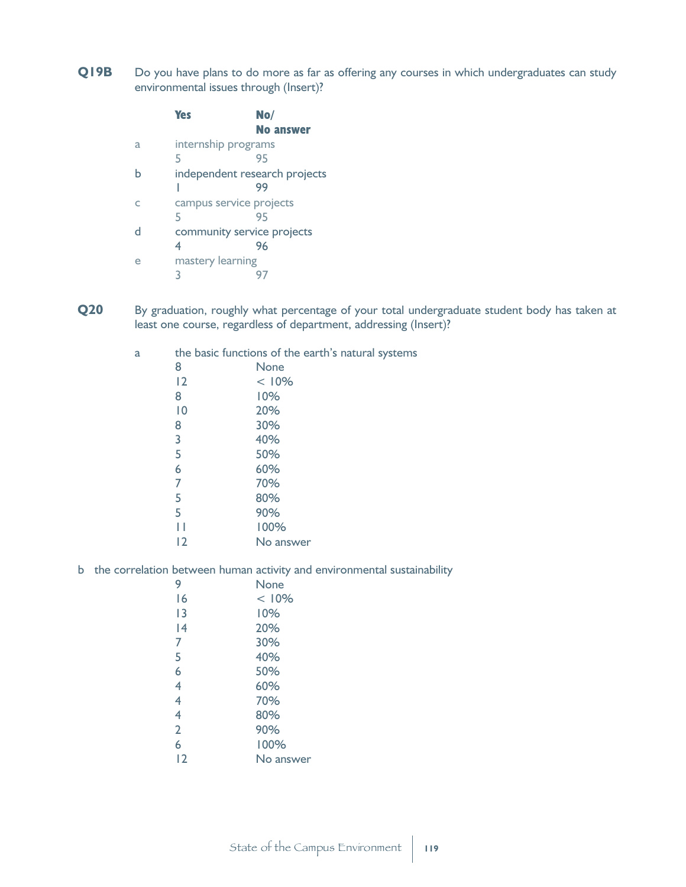**Q19B** Do you have plans to do more as far as offering any courses in which undergraduates can study environmental issues through (Insert)?

|   | <b>Yes</b>                    | No/       |
|---|-------------------------------|-----------|
|   |                               | No answer |
| a | internship programs           |           |
|   | 5                             | 95        |
| b | independent research projects | 99        |
|   | campus service projects<br>5  | 95        |
| d | community service projects    |           |
|   | 4                             | 96        |
| e | mastery learning<br>3         |           |

**Q20** By graduation, roughly what percentage of your total undergraduate student body has taken at least one course, regardless of department, addressing (Insert)?

| a |                | the basic functions of the earth's natural systems |  |  |  |  |  |
|---|----------------|----------------------------------------------------|--|--|--|--|--|
|   | 8              | None                                               |  |  |  |  |  |
|   | 12             | < 10%                                              |  |  |  |  |  |
|   | 8              | 10%                                                |  |  |  |  |  |
|   | 10             | 20%                                                |  |  |  |  |  |
|   | 8              | 30%                                                |  |  |  |  |  |
|   | 3              | 40%                                                |  |  |  |  |  |
|   | 5              | 50%                                                |  |  |  |  |  |
|   | 6              | 60%                                                |  |  |  |  |  |
|   | 7              | 70%                                                |  |  |  |  |  |
|   | 5              | 80%                                                |  |  |  |  |  |
|   | 5              | 90%                                                |  |  |  |  |  |
|   |                | 100%                                               |  |  |  |  |  |
|   | $\overline{2}$ | No answer                                          |  |  |  |  |  |
|   |                |                                                    |  |  |  |  |  |

b the correlation between human activity and environmental sustainability

| 9              | None      |
|----------------|-----------|
| 16             | < 10%     |
| 13             | 10%       |
| 14             | 20%       |
| 7              | 30%       |
| 5              | 40%       |
| 6              | 50%       |
| 4              | 60%       |
| 4              | 70%       |
| 4              | 80%       |
| $\overline{2}$ | 90%       |
| 6              | 100%      |
| 12             | No answer |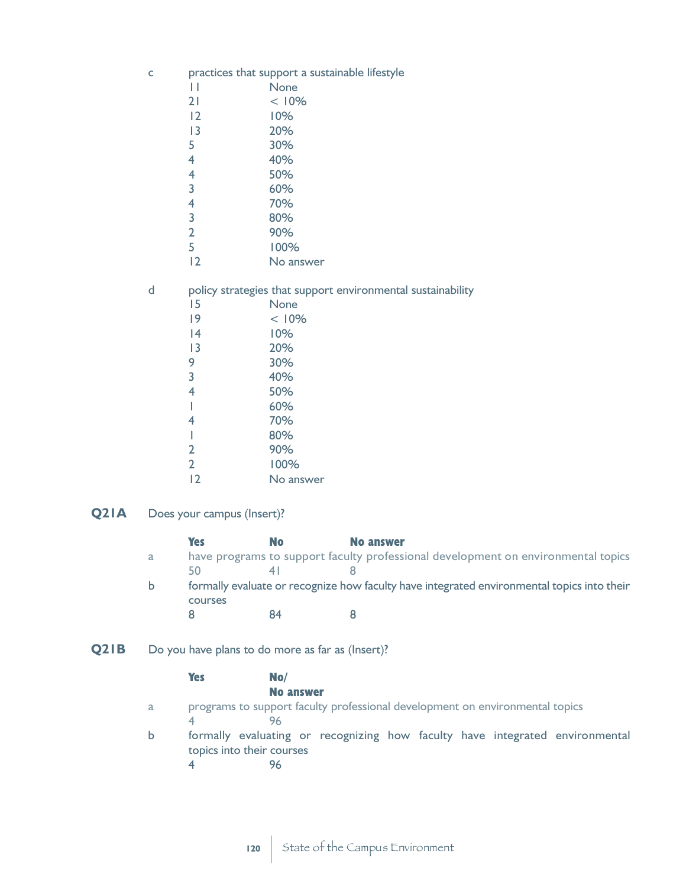- c practices that support a sustainable lifestyle
	- 11 None<br>21 < 109
	- $< 10%$
	- 12 10%
	- 13 20% 5 30%
	- 4 40%
	-
	- 4 50%<br>3 60%
	- 3 60%<br>4 70%
	- 4 70%<br>3 80%
	- 3 80%<br>2 90%
	- 2 90%<br>5 100% 5 100%
	- 12 No answer

d policy strategies that support environmental sustainability

|                | $F \sim T$ and $T \sim T$ and $T \sim T$ |
|----------------|------------------------------------------|
| 15             | None                                     |
| 9              | < 10%                                    |
| 14             | 10%                                      |
| 13             | 20%                                      |
| 9              | 30%                                      |
| 3              | 40%                                      |
| 4              | 50%                                      |
| 1              | 60%                                      |
| 4              | 70%                                      |
| I              | 80%                                      |
| $\overline{2}$ | 90%                                      |
| $\overline{2}$ | 100%                                     |
| 2              | No answer                                |

**Q21A** Does your campus (Insert)?

|   | <b>Yes</b> | No. | No answer                                                                                  |
|---|------------|-----|--------------------------------------------------------------------------------------------|
| a |            |     | have programs to support faculty professional development on environmental topics          |
|   | 50         |     |                                                                                            |
| Ы |            |     | formally evaluate or recognize how faculty have integrated environmental topics into their |
|   | courses    |     |                                                                                            |
|   |            |     |                                                                                            |

**Q21B** Do you have plans to do more as far as (Insert)?

|    | <b>Yes</b> | No/                       |                                                                              |  |  |                                                                              |
|----|------------|---------------------------|------------------------------------------------------------------------------|--|--|------------------------------------------------------------------------------|
|    |            | No answer                 |                                                                              |  |  |                                                                              |
| a. |            |                           | programs to support faculty professional development on environmental topics |  |  |                                                                              |
| Ь  |            | topics into their courses |                                                                              |  |  | formally evaluating or recognizing how faculty have integrated environmental |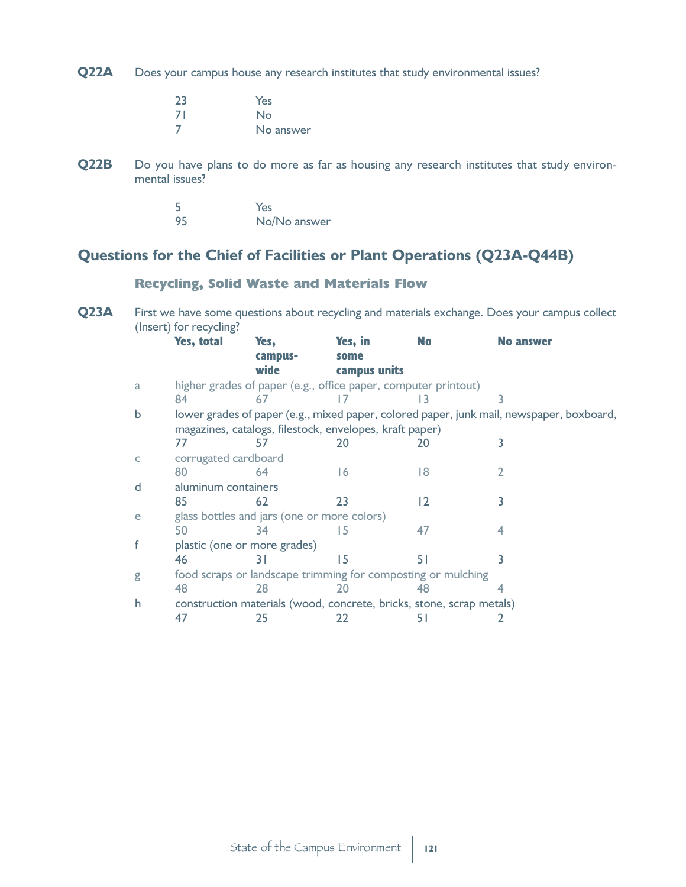**Q22A** Does your campus house any research institutes that study environmental issues?

| 23 | Yes       |
|----|-----------|
| 71 | No        |
| 7  | No answer |

**Q22B** Do you have plans to do more as far as housing any research institutes that study environmental issues?

| 5   | Yes          |
|-----|--------------|
| -95 | No/No answer |

# **Questions for the Chief of Facilities or Plant Operations (Q23A-Q44B)**

### **Recycling, Solid Waste and Materials Flow**

**Q23A** First we have some questions about recycling and materials exchange. Does your campus collect (Insert) for recycling?

|   | <b>Yes, total</b>                                            | Yes,                                                                 | Yes, in      | <b>No</b>      | <b>No answer</b>                                                                         |  |
|---|--------------------------------------------------------------|----------------------------------------------------------------------|--------------|----------------|------------------------------------------------------------------------------------------|--|
|   |                                                              | campus-                                                              | some         |                |                                                                                          |  |
|   |                                                              | wide                                                                 | campus units |                |                                                                                          |  |
| a |                                                              | higher grades of paper (e.g., office paper, computer printout)       |              |                |                                                                                          |  |
|   | 84                                                           | 67                                                                   |              |                | 3                                                                                        |  |
| b |                                                              |                                                                      |              |                | lower grades of paper (e.g., mixed paper, colored paper, junk mail, newspaper, boxboard, |  |
|   |                                                              | magazines, catalogs, filestock, envelopes, kraft paper)              |              |                |                                                                                          |  |
|   | 77                                                           | 57                                                                   | 20           | 20             |                                                                                          |  |
| C | corrugated cardboard                                         |                                                                      |              |                |                                                                                          |  |
|   | 80                                                           | 64                                                                   | 16           | 8              |                                                                                          |  |
| d | aluminum containers                                          |                                                                      |              |                |                                                                                          |  |
|   | 85                                                           | 62                                                                   | 23           | $\overline{2}$ |                                                                                          |  |
| е |                                                              | glass bottles and jars (one or more colors)                          |              |                |                                                                                          |  |
|   | 50                                                           | 34                                                                   | 15           | 47             | 4                                                                                        |  |
| f |                                                              | plastic (one or more grades)                                         |              |                |                                                                                          |  |
|   | 46                                                           | 31                                                                   | 15           | 51             |                                                                                          |  |
| g | food scraps or landscape trimming for composting or mulching |                                                                      |              |                |                                                                                          |  |
|   | 48                                                           | 28                                                                   | 20           | 48             |                                                                                          |  |
| h |                                                              | construction materials (wood, concrete, bricks, stone, scrap metals) |              |                |                                                                                          |  |
|   | 47                                                           | 25                                                                   | 22           | 51             |                                                                                          |  |
|   |                                                              |                                                                      |              |                |                                                                                          |  |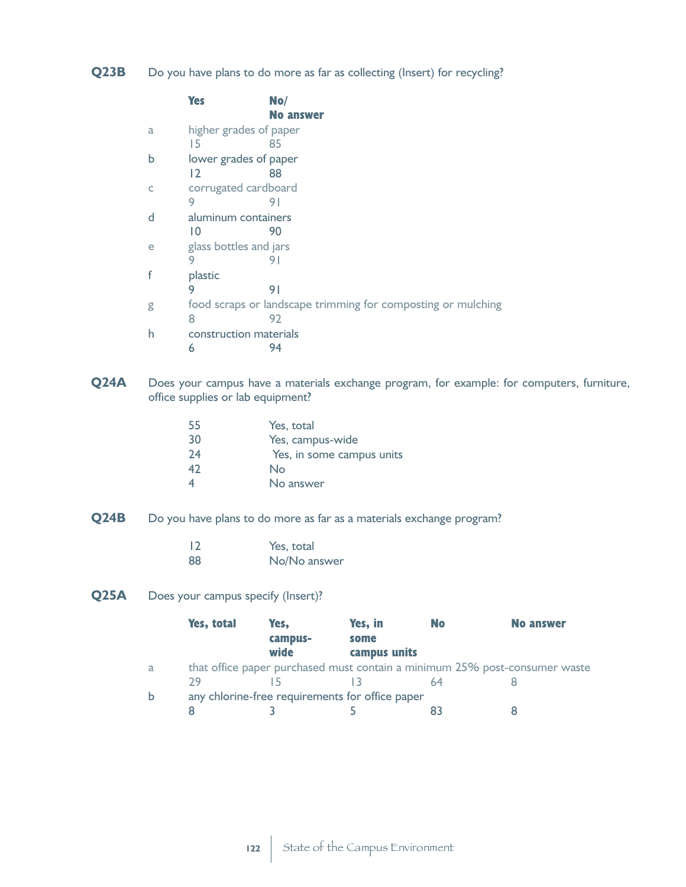**Q23B** Do you have plans to do more as far as collecting (Insert) for recycling?

|   | <b>Yes</b>             | No/                                                          |
|---|------------------------|--------------------------------------------------------------|
|   |                        | No answer                                                    |
| a | higher grades of paper |                                                              |
|   | 15                     | 85                                                           |
| b | lower grades of paper  |                                                              |
|   | 12                     | 88                                                           |
| C | corrugated cardboard   |                                                              |
|   | 9                      | 91                                                           |
| d | aluminum containers    |                                                              |
|   | 10                     | 90                                                           |
| e | glass bottles and jars |                                                              |
|   | 9                      | 91                                                           |
|   | plastic                |                                                              |
|   | 9                      | 91                                                           |
| g |                        | food scraps or landscape trimming for composting or mulching |
|   | 8                      | 92                                                           |
| h | construction materials |                                                              |
|   | 6                      | 94                                                           |

**Q24A** Does your campus have a materials exchange program, for example: for computers, furniture, office supplies or lab equipment?

| 55             | Yes, total                |
|----------------|---------------------------|
| 30             | Yes, campus-wide          |
| 24             | Yes, in some campus units |
| 42             | No                        |
| $\overline{4}$ | No answer                 |
|                |                           |

- **Q24B** Do you have plans to do more as far as a materials exchange program?
	- 12 Yes, total 88 No/No answer
- **Q25A** Does your campus specify (Insert)?

|             | <b>Yes, total</b> | Yes.                                            | Yes, in      | <b>No</b> | <b>No answer</b>                                                           |
|-------------|-------------------|-------------------------------------------------|--------------|-----------|----------------------------------------------------------------------------|
|             |                   | campus-                                         | some         |           |                                                                            |
|             |                   | wide                                            | campus units |           |                                                                            |
| a           |                   |                                                 |              |           | that office paper purchased must contain a minimum 25% post-consumer waste |
|             | 29                |                                                 |              |           |                                                                            |
| $\mathbf b$ |                   | any chlorine-free requirements for office paper |              |           |                                                                            |
|             |                   |                                                 |              |           |                                                                            |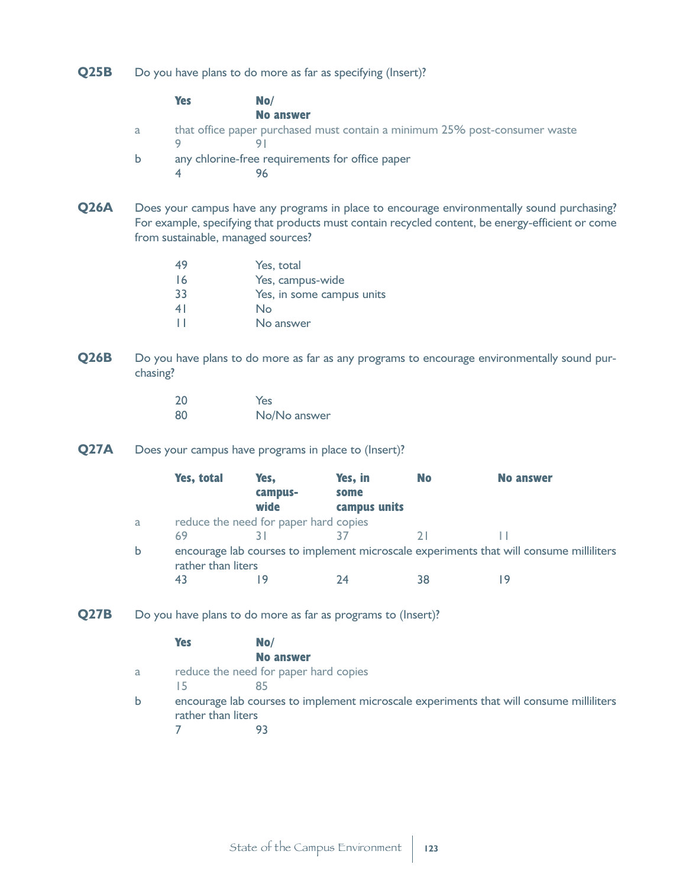**Q25B** Do you have plans to do more as far as specifying (Insert)?

|   | <b>Yes</b> | No/                                                                        |
|---|------------|----------------------------------------------------------------------------|
|   |            | No answer                                                                  |
| a |            | that office paper purchased must contain a minimum 25% post-consumer waste |
| b |            | any chlorine-free requirements for office paper                            |

**Q26A** Does your campus have any programs in place to encourage environmentally sound purchasing? For example, specifying that products must contain recycled content, be energy-efficient or come from sustainable, managed sources?

| 49             | Yes, total                |
|----------------|---------------------------|
| -16            | Yes, campus-wide          |
| 33             | Yes, in some campus units |
| 4 <sup>1</sup> | No                        |
| $\perp$        | No answer                 |
|                |                           |

**Q26B** Do you have plans to do more as far as any programs to encourage environmentally sound purchasing?

| -20 | Yes          |
|-----|--------------|
| -80 | No/No answer |

**Q27A** Does your campus have programs in place to (Insert)?

|    | Yes, total         | Yes.                                  | Yes, in      | <b>No</b> | <b>No answer</b>                                                                        |
|----|--------------------|---------------------------------------|--------------|-----------|-----------------------------------------------------------------------------------------|
|    |                    | campus-                               | some         |           |                                                                                         |
|    |                    | wide                                  | campus units |           |                                                                                         |
| a. |                    | reduce the need for paper hard copies |              |           |                                                                                         |
|    | 69                 |                                       |              |           |                                                                                         |
| b  | rather than liters |                                       |              |           | encourage lab courses to implement microscale experiments that will consume milliliters |
|    | 47                 |                                       | 74           | 38        |                                                                                         |

**Q27B** Do you have plans to do more as far as programs to (Insert)?

|   | <b>Yes</b>                                                                                                    | No/                                   |
|---|---------------------------------------------------------------------------------------------------------------|---------------------------------------|
|   |                                                                                                               | No answer                             |
| a |                                                                                                               | reduce the need for paper hard copies |
|   | 15.                                                                                                           |                                       |
| b | encourage lab courses to implement microscale experiments that will consume milliliters<br>rather than liters |                                       |
|   |                                                                                                               |                                       |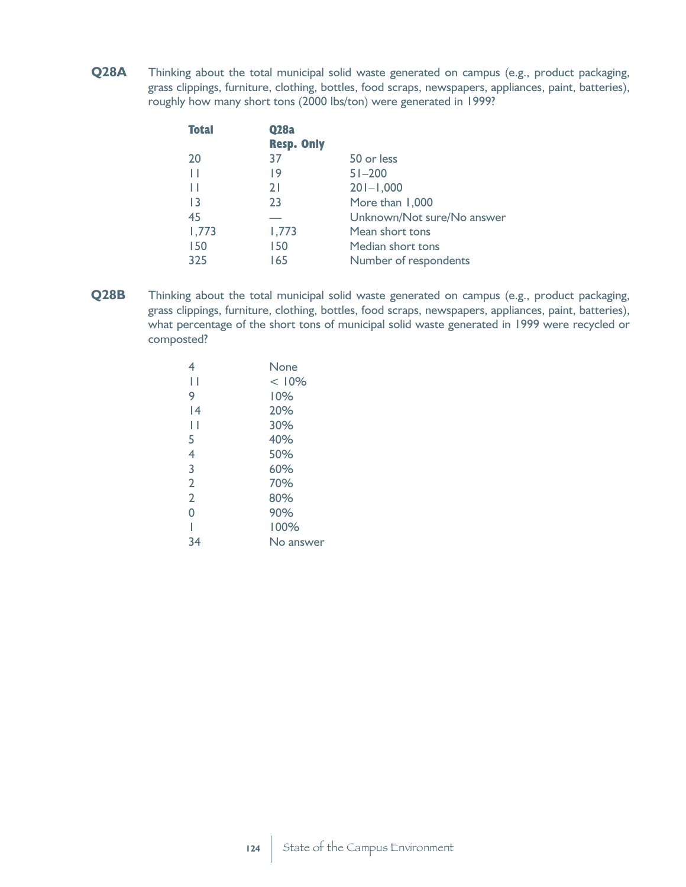**Q28A** Thinking about the total municipal solid waste generated on campus (e.g., product packaging, grass clippings, furniture, clothing, bottles, food scraps, newspapers, appliances, paint, batteries), roughly how many short tons (2000 lbs/ton) were generated in 1999?

| <b>Total</b> | Q28a              |                            |
|--------------|-------------------|----------------------------|
|              | <b>Resp. Only</b> |                            |
| 20           | 37                | 50 or less                 |
| П            | 19                | $51 - 200$                 |
| П            | 21                | $201 - 1,000$              |
| 3            | 23                | More than 1,000            |
| 45           |                   | Unknown/Not sure/No answer |
| 1,773        | 1,773             | Mean short tons            |
| 150          | 150               | Median short tons          |
| 325          | 165               | Number of respondents      |
|              |                   |                            |

**Q28B** Thinking about the total municipal solid waste generated on campus (e.g., product packaging, grass clippings, furniture, clothing, bottles, food scraps, newspapers, appliances, paint, batteries), what percentage of the short tons of municipal solid waste generated in 1999 were recycled or composted?

| 4              | <b>None</b> |
|----------------|-------------|
| Н              | < 10%       |
| 9              | 10%         |
| 14             | 20%         |
| Н              | 30%         |
| 5              | 40%         |
| 4              | 50%         |
| 3              | 60%         |
| $\overline{2}$ | 70%         |
| $\overline{2}$ | 80%         |
| 0              | 90%         |
|                | 100%        |
| 34             | No answer   |
|                |             |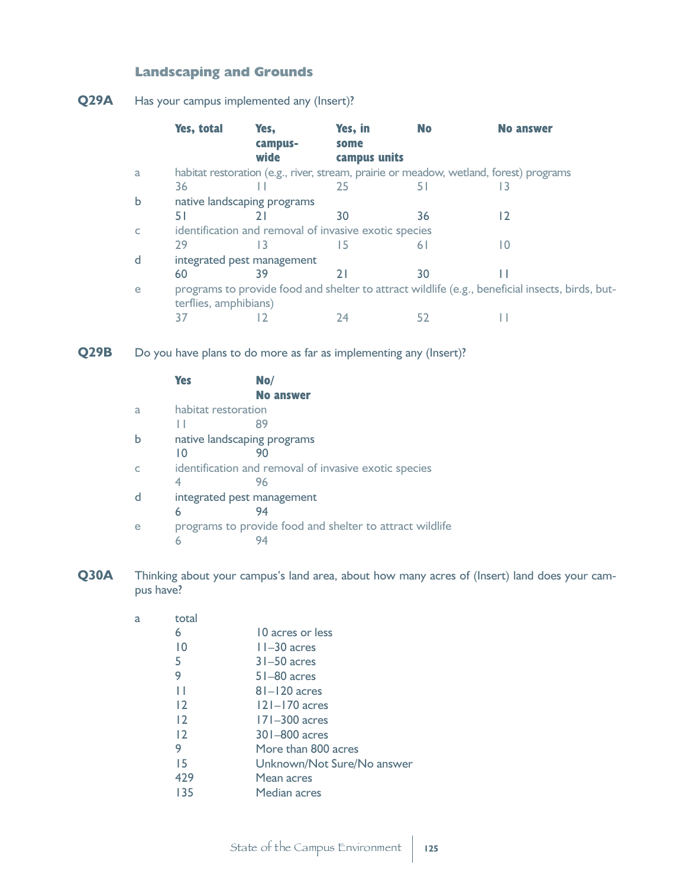### **Landscaping and Grounds**

## **Q29A** Has your campus implemented any (Insert)?

|                                                       | Yes, total                 | Yes,<br>campus-             | Yes, in<br>some | <b>No</b> | <b>No answer</b>                                                                                |  |
|-------------------------------------------------------|----------------------------|-----------------------------|-----------------|-----------|-------------------------------------------------------------------------------------------------|--|
|                                                       |                            | wide                        | campus units    |           |                                                                                                 |  |
| a                                                     |                            |                             |                 |           | habitat restoration (e.g., river, stream, prairie or meadow, wetland, forest) programs          |  |
|                                                       | 36                         |                             | 25              | 51        | 13                                                                                              |  |
| $\mathbf b$                                           |                            | native landscaping programs |                 |           |                                                                                                 |  |
|                                                       | 5 I                        |                             | 30              | 36        | 12                                                                                              |  |
| identification and removal of invasive exotic species |                            |                             |                 |           |                                                                                                 |  |
|                                                       | 29                         |                             | 15              | 6 I       | 10                                                                                              |  |
| d                                                     | integrated pest management |                             |                 |           |                                                                                                 |  |
|                                                       | 60                         | 39                          | 21              | 30        |                                                                                                 |  |
| e                                                     |                            |                             |                 |           | programs to provide food and shelter to attract wildlife (e.g., beneficial insects, birds, but- |  |
|                                                       | terflies, amphibians)      |                             |                 |           |                                                                                                 |  |
|                                                       | 37                         |                             | 24              | 52        |                                                                                                 |  |

**Q29B** Do you have plans to do more as far as implementing any (Insert)?

| identification and removal of invasive exotic species    |
|----------------------------------------------------------|
|                                                          |
|                                                          |
|                                                          |
| programs to provide food and shelter to attract wildlife |
|                                                          |

**Q30A** Thinking about your campus's land area, about how many acres of (Insert) land does your campus have?

| total           |                            |
|-----------------|----------------------------|
| 6               | 10 acres or less           |
| 10              | $11-30$ acres              |
| 5               | $31 - 50$ acres            |
| 9               | $51-80$ acres              |
|                 | $81 - 120$ acres           |
| 12              | $ 2 -170$ acres            |
| $\overline{12}$ | $171 - 300$ acres          |
| $\overline{12}$ | 301-800 acres              |
| 9               | More than 800 acres        |
| 15              | Unknown/Not Sure/No answer |
| 429             | Mean acres                 |
| 135             | Median acres               |
|                 |                            |

 $\mathbf{a}$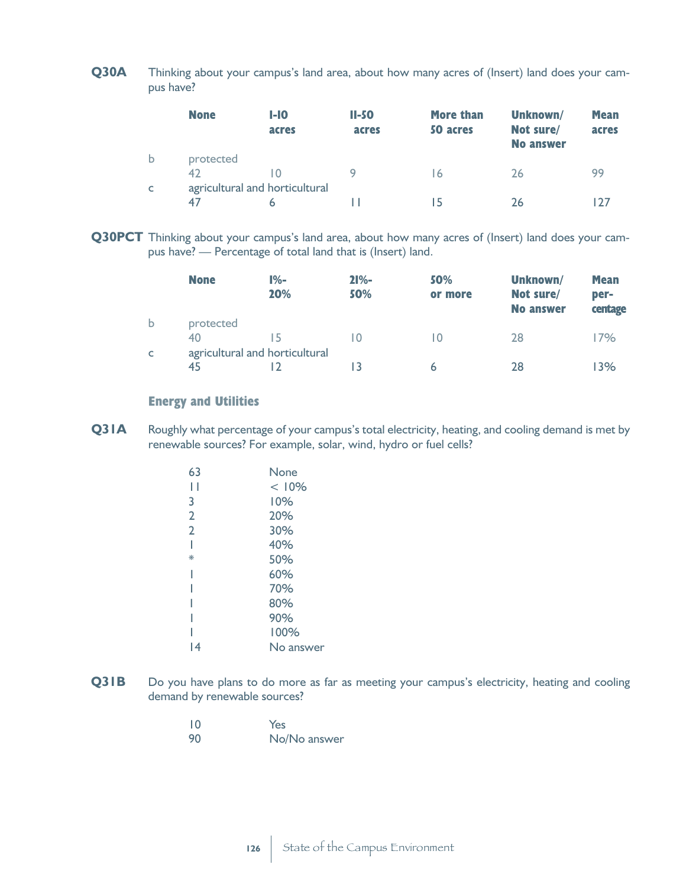**Q30A** Thinking about your campus's land area, about how many acres of (Insert) land does your campus have?

|   | <b>None</b> | $I-I$ O<br>acres               | $II-50$<br>acres | More than<br>50 acres | Unknown/<br>Not sure/<br><b>No answer</b> | <b>Mean</b><br>acres |
|---|-------------|--------------------------------|------------------|-----------------------|-------------------------------------------|----------------------|
| b | protected   |                                |                  |                       |                                           |                      |
|   | 42          | 10                             | g                | 16                    | 26                                        | 99                   |
| c |             | agricultural and horticultural |                  |                       |                                           |                      |
|   | 47          | 6                              |                  |                       | 26                                        |                      |

**Q30PCT** Thinking about your campus's land area, about how many acres of (Insert) land does your campus have? — Percentage of total land that is (Insert) land.

|   | <b>None</b> | $1% -$<br>20%                  | $21% -$<br>50% | 50%<br>or more | Unknown/<br>Not sure/<br><b>No answer</b> | <b>Mean</b><br>per-<br>centage |
|---|-------------|--------------------------------|----------------|----------------|-------------------------------------------|--------------------------------|
| b | protected   |                                |                |                |                                           |                                |
|   | 40          |                                | I O            |                | 28                                        | 17%                            |
| c |             | agricultural and horticultural |                |                |                                           |                                |
|   | 45          |                                | IК             | 6              | 28                                        | 13%                            |
|   |             |                                |                |                |                                           |                                |

### **Energy and Utilities**

**Q31A** Roughly what percentage of your campus's total electricity, heating, and cooling demand is met by renewable sources? For example, solar, wind, hydro or fuel cells?

| 63             | None      |
|----------------|-----------|
| $\mathbf{I}$   | < 10%     |
| 3              | 10%       |
| $\overline{2}$ | 20%       |
| $\overline{2}$ | 30%       |
|                | 40%       |
| $*$            | 50%       |
|                | 60%       |
|                | 70%       |
|                | 80%       |
|                | 90%       |
|                | 100%      |
| 14             | No answer |
|                |           |

**Q31B** Do you have plans to do more as far as meeting your campus's electricity, heating and cooling demand by renewable sources?

| $\overline{10}$ | Yes          |
|-----------------|--------------|
| 90              | No/No answer |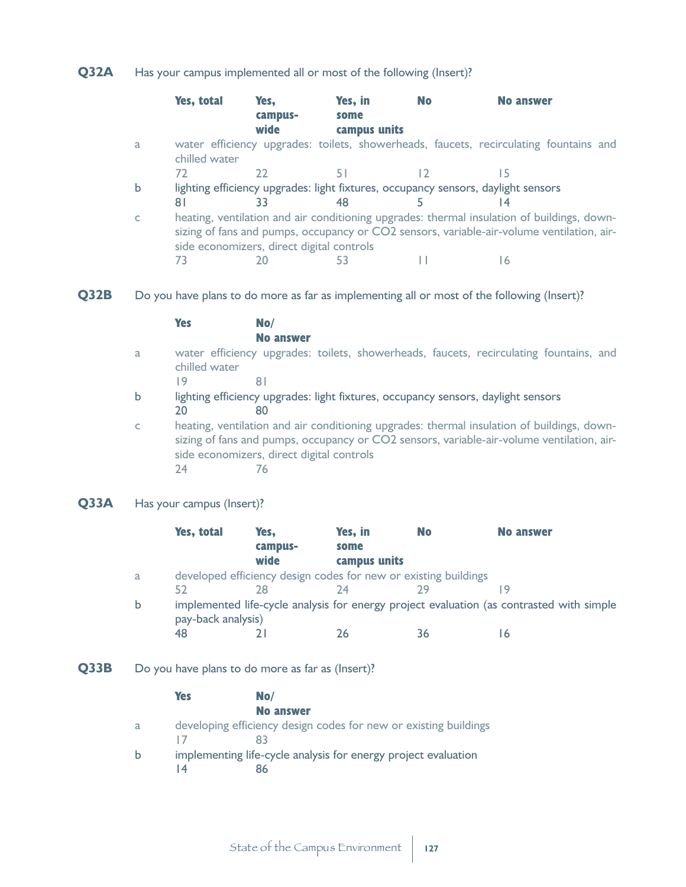**Q32A** Has your campus implemented all or most of the following (Insert)?

|             | Yes, total    | Yes,<br>campus-<br>wide                   | Yes, in<br>some<br>campus units                                                   | <b>No</b> | <b>No answer</b>                                                                                                                                                                        |
|-------------|---------------|-------------------------------------------|-----------------------------------------------------------------------------------|-----------|-----------------------------------------------------------------------------------------------------------------------------------------------------------------------------------------|
| a           | chilled water |                                           |                                                                                   |           | water efficiency upgrades: toilets, showerheads, faucets, recirculating fountains and                                                                                                   |
|             | 72            | 22                                        | 51                                                                                |           | 15                                                                                                                                                                                      |
| $\mathbf b$ |               |                                           | lighting efficiency upgrades: light fixtures, occupancy sensors, daylight sensors |           |                                                                                                                                                                                         |
|             | 81            | २२                                        | 48                                                                                |           | 14                                                                                                                                                                                      |
| C           |               | side economizers, direct digital controls |                                                                                   |           | heating, ventilation and air conditioning upgrades: thermal insulation of buildings, down-<br>sizing of fans and pumps, occupancy or CO2 sensors, variable-air-volume ventilation, air- |
|             |               |                                           |                                                                                   |           | 16                                                                                                                                                                                      |

**Q32B** Do you have plans to do more as far as implementing all or most of the following (Insert)?

|   | <b>Yes</b>    | No/                                                                                                                                                                                                                                  |
|---|---------------|--------------------------------------------------------------------------------------------------------------------------------------------------------------------------------------------------------------------------------------|
|   |               | <b>No answer</b>                                                                                                                                                                                                                     |
| a |               | water efficiency upgrades: toilets, showerheads, faucets, recirculating fountains, and                                                                                                                                               |
|   | chilled water |                                                                                                                                                                                                                                      |
|   | 19            | 81                                                                                                                                                                                                                                   |
| b |               | lighting efficiency upgrades: light fixtures, occupancy sensors, daylight sensors                                                                                                                                                    |
|   | 20            | 80                                                                                                                                                                                                                                   |
| C | 74            | heating, ventilation and air conditioning upgrades: thermal insulation of buildings, down-<br>sizing of fans and pumps, occupancy or CO2 sensors, variable-air-volume ventilation, air-<br>side economizers, direct digital controls |

### **Q33A** Has your campus (Insert)?

|   | Yes, total         | Yes.    | Yes, in                                                         | <b>No</b> | <b>No answer</b>                                                                         |  |
|---|--------------------|---------|-----------------------------------------------------------------|-----------|------------------------------------------------------------------------------------------|--|
|   |                    | campus- | some                                                            |           |                                                                                          |  |
|   |                    | wide    | campus units                                                    |           |                                                                                          |  |
| a |                    |         | developed efficiency design codes for new or existing buildings |           |                                                                                          |  |
|   | 52                 | 28      | 74                                                              |           |                                                                                          |  |
| b |                    |         |                                                                 |           | implemented life-cycle analysis for energy project evaluation (as contrasted with simple |  |
|   | pay-back analysis) |         |                                                                 |           |                                                                                          |  |
|   |                    |         | 26                                                              | 36        |                                                                                          |  |

**Q33B** Do you have plans to do more as far as (Insert)?

|   | Yes | No/                                                              |
|---|-----|------------------------------------------------------------------|
|   |     | <b>No answer</b>                                                 |
| a |     | developing efficiency design codes for new or existing buildings |
|   |     | 83                                                               |
| b |     | implementing life-cycle analysis for energy project evaluation   |
|   | 14  | 86                                                               |
|   |     |                                                                  |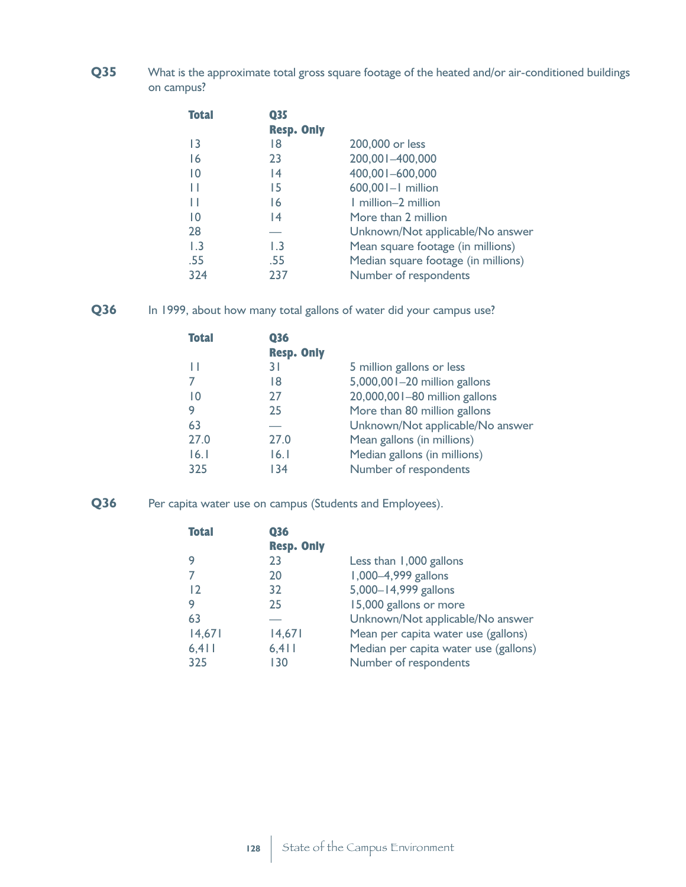**Q35** What is the approximate total gross square footage of the heated and/or air-conditioned buildings on campus?

| <b>Total</b>     | Q35               |                                     |
|------------------|-------------------|-------------------------------------|
|                  | <b>Resp. Only</b> |                                     |
| $\overline{13}$  | 18                | 200,000 or less                     |
| 16               | 23                | 200,001-400,000                     |
| $\overline{10}$  | 14                | 400,001-600,000                     |
| Н                | 15                | 600,001-1 million                   |
| Н                | 16                | I million-2 million                 |
| $\overline{10}$  | 14                | More than 2 million                 |
| 28               |                   | Unknown/Not applicable/No answer    |
| $\overline{1.3}$ | 1.3               | Mean square footage (in millions)   |
| .55              | .55               | Median square footage (in millions) |
| 324              | 237               | Number of respondents               |

**Q36** In 1999, about how many total gallons of water did your campus use?

| <b>Total</b> | Q36               |                                  |
|--------------|-------------------|----------------------------------|
|              | <b>Resp. Only</b> |                                  |
|              | 31                | 5 million gallons or less        |
|              | 18                | 5,000,001-20 million gallons     |
| 10           | 27                | 20,000,001-80 million gallons    |
| 9            | 25                | More than 80 million gallons     |
| 63           |                   | Unknown/Not applicable/No answer |
| 27.0         | 27.0              | Mean gallons (in millions)       |
| 16.1         | 16.1              | Median gallons (in millions)     |
| 325          | 134               | Number of respondents            |

**Q36** Per capita water use on campus (Students and Employees).

| <b>Total</b>    | 036               |                                       |
|-----------------|-------------------|---------------------------------------|
|                 | <b>Resp. Only</b> |                                       |
| 9               | 23                | Less than 1,000 gallons               |
|                 | 20                | 1,000-4,999 gallons                   |
| $\overline{12}$ | 32                | 5,000-14,999 gallons                  |
| 9               | 25                | 15,000 gallons or more                |
| 63              |                   | Unknown/Not applicable/No answer      |
| 14,671          | 14,671            | Mean per capita water use (gallons)   |
| 6, 411          | 6, 411            | Median per capita water use (gallons) |
| 325             | 130               | Number of respondents                 |
|                 |                   |                                       |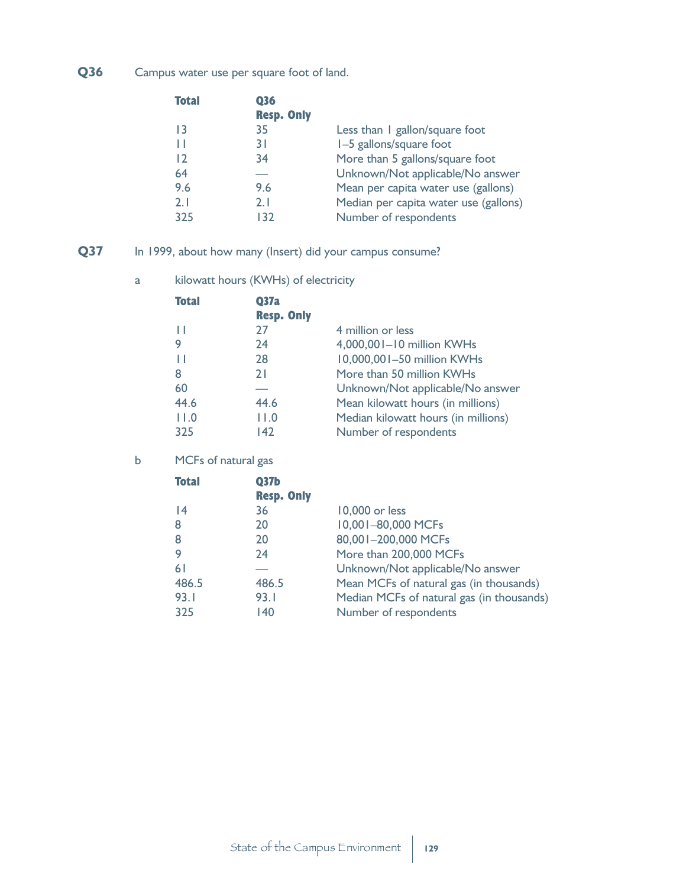**Q36** Campus water use per square foot of land.

| <b>Total</b> | Q36               |                                       |
|--------------|-------------------|---------------------------------------|
|              | <b>Resp. Only</b> |                                       |
| 13           | 35                | Less than I gallon/square foot        |
| Н            | 3 I               | I-5 gallons/square foot               |
| 12           | 34                | More than 5 gallons/square foot       |
| 64           |                   | Unknown/Not applicable/No answer      |
| 9.6          | 9.6               | Mean per capita water use (gallons)   |
| 2.1          | 2.1               | Median per capita water use (gallons) |
| 325          | 132               | Number of respondents                 |

- **Q37** In 1999, about how many (Insert) did your campus consume?
	- a kilowatt hours (KWHs) of electricity

| <b>Total</b> | <b>Q37a</b>       |                                     |
|--------------|-------------------|-------------------------------------|
|              | <b>Resp. Only</b> |                                     |
| Ш            | 27                | 4 million or less                   |
| 9            | 24                | 4,000,001-10 million KWHs           |
|              | 28                | 10,000,001-50 million KWHs          |
| 8            | 21                | More than 50 million KWHs           |
| 60           |                   | Unknown/Not applicable/No answer    |
| 44.6         | 44.6              | Mean kilowatt hours (in millions)   |
| 11.0         | 11.0              | Median kilowatt hours (in millions) |
| 325          | 142               | Number of respondents               |

## b MCFs of natural gas

| <b>Total</b> | Q37 <sub>b</sub>  |                                           |
|--------------|-------------------|-------------------------------------------|
|              | <b>Resp. Only</b> |                                           |
| 4            | 36                | 10,000 or less                            |
| 8            | 20                | 10,001-80,000 MCFs                        |
| 8            | 20                | 80,001-200,000 MCFs                       |
| 9            | 24                | More than 200,000 MCFs                    |
| 61           |                   | Unknown/Not applicable/No answer          |
| 486.5        | 486.5             | Mean MCFs of natural gas (in thousands)   |
| 93.1         | 93.1              | Median MCFs of natural gas (in thousands) |
| 325          | 140               | Number of respondents                     |
|              |                   |                                           |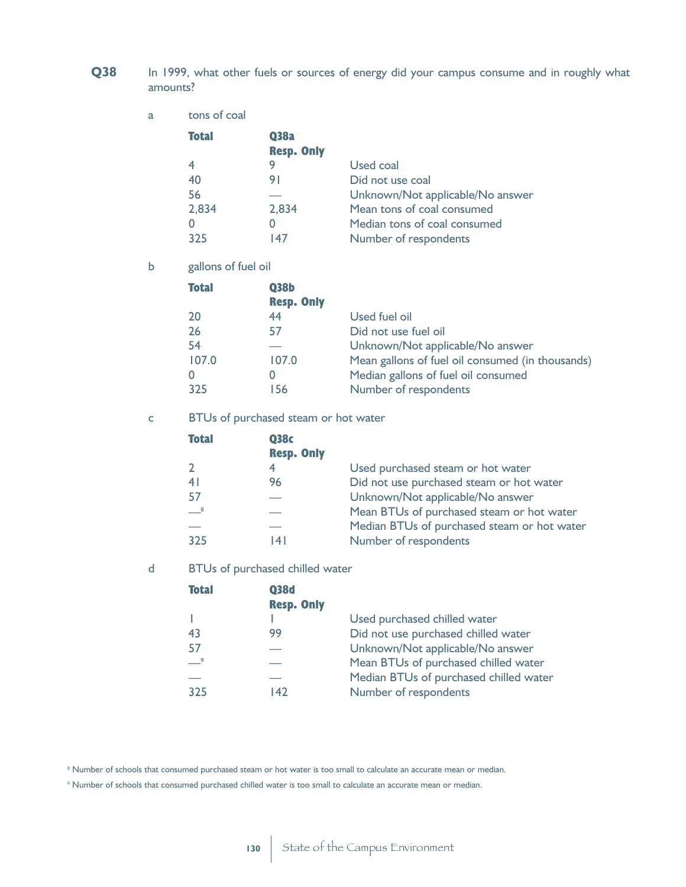**Q38** In 1999, what other fuels or sources of energy did your campus consume and in roughly what amounts?

#### a tons of coal

| <b>Total</b> | <b>038a</b>       |                                  |
|--------------|-------------------|----------------------------------|
|              | <b>Resp. Only</b> |                                  |
| 4            |                   | Used coal                        |
| 40           | 91                | Did not use coal                 |
| 56           |                   | Unknown/Not applicable/No answer |
| 2,834        | 2,834             | Mean tons of coal consumed       |
| 0            |                   | Median tons of coal consumed     |
| 325          | 147               | Number of respondents            |

b gallons of fuel oil

| <b>Total</b> | <b>Q38b</b>       |                                                  |
|--------------|-------------------|--------------------------------------------------|
|              | <b>Resp. Only</b> |                                                  |
| 20           | 44                | Used fuel oil                                    |
| 26           | 57                | Did not use fuel oil                             |
| 54           |                   | Unknown/Not applicable/No answer                 |
| 107.0        | 107.0             | Mean gallons of fuel oil consumed (in thousands) |
|              |                   | Median gallons of fuel oil consumed              |
| 325          | 156               | Number of respondents                            |

c BTUs of purchased steam or hot water

| <b>Total</b> | <b>Q38c</b>       |                                             |
|--------------|-------------------|---------------------------------------------|
|              | <b>Resp. Only</b> |                                             |
|              | 4                 | Used purchased steam or hot water           |
| 41           | 96                | Did not use purchased steam or hot water    |
| -57          |                   | Unknown/Not applicable/No answer            |
| $^{\circ}$   |                   | Mean BTUs of purchased steam or hot water   |
|              |                   | Median BTUs of purchased steam or hot water |
| 325          | 14 I              | Number of respondents                       |

d BTUs of purchased chilled water

| <b>Total</b>   | <b>Q38d</b><br><b>Resp. Only</b> |                                        |
|----------------|----------------------------------|----------------------------------------|
|                |                                  | Used purchased chilled water           |
| 43             | 99                               | Did not use purchased chilled water    |
| 57             |                                  | Unknown/Not applicable/No answer       |
| $\overline{9}$ |                                  | Mean BTUs of purchased chilled water   |
|                |                                  | Median BTUs of purchased chilled water |
| 325            | 142                              | Number of respondents                  |

<sup>8</sup> Number of schools that consumed purchased steam or hot water is too small to calculate an accurate mean or median.

<sup>9</sup> Number of schools that consumed purchased chilled water is too small to calculate an accurate mean or median.

**130** State of the Campus Environment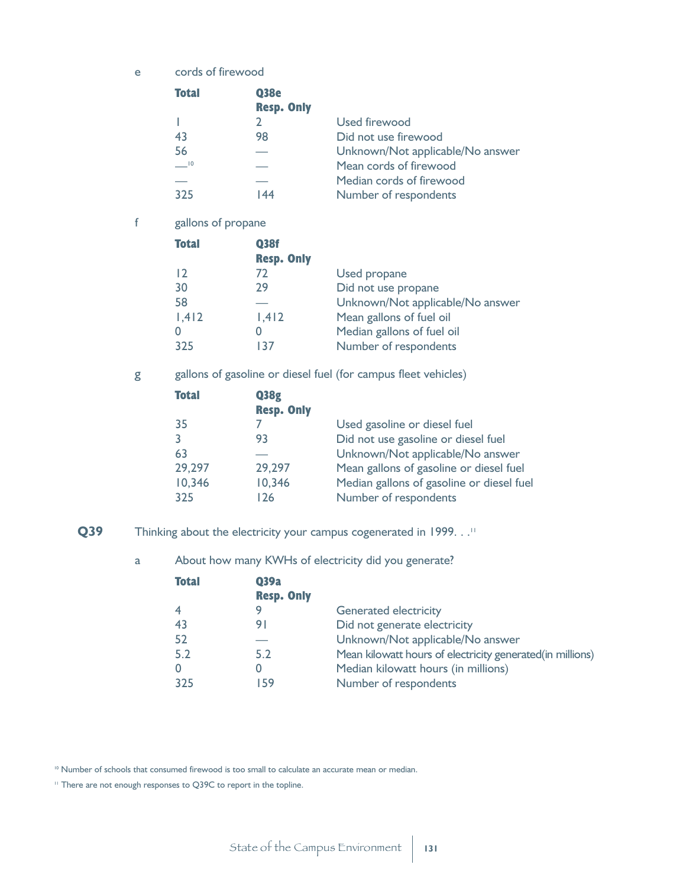e cords of firewood

| <b>Q38e</b>       |                                  |
|-------------------|----------------------------------|
| <b>Resp. Only</b> |                                  |
|                   | Used firewood                    |
| 98                | Did not use firewood             |
|                   | Unknown/Not applicable/No answer |
|                   | Mean cords of firewood           |
|                   | Median cords of firewood         |
| 44 ا              | Number of respondents            |
|                   |                                  |

f gallons of propane

| <b>Q38f</b>       |                                  |
|-------------------|----------------------------------|
| <b>Resp. Only</b> |                                  |
| 72                | Used propane                     |
| 29                | Did not use propane              |
|                   | Unknown/Not applicable/No answer |
| 1,412             | Mean gallons of fuel oil         |
|                   | Median gallons of fuel oil       |
| 137               | Number of respondents            |
|                   |                                  |

g gallons of gasoline or diesel fuel (for campus fleet vehicles)

| <b>Total</b> | <b>Q38g</b>       |                                           |
|--------------|-------------------|-------------------------------------------|
|              | <b>Resp. Only</b> |                                           |
| 35           |                   | Used gasoline or diesel fuel              |
| 3            | 93                | Did not use gasoline or diesel fuel       |
| 63           |                   | Unknown/Not applicable/No answer          |
| 29,297       | 29,297            | Mean gallons of gasoline or diesel fuel   |
| 10,346       | 10,346            | Median gallons of gasoline or diesel fuel |
| 325          | 126               | Number of respondents                     |

- **Q39** Thinking about the electricity your campus cogenerated in 1999. . .<sup>11</sup>
	- a About how many KWHs of electricity did you generate?

| <b>Total</b> | <b>039a</b><br><b>Resp. Only</b> |                                                           |
|--------------|----------------------------------|-----------------------------------------------------------|
|              |                                  | <b>Generated electricity</b>                              |
| 43           | 91                               | Did not generate electricity                              |
| 52           |                                  | Unknown/Not applicable/No answer                          |
| 5.2          | 5.2                              | Mean kilowatt hours of electricity generated(in millions) |
|              |                                  | Median kilowatt hours (in millions)                       |
| 325          | 159                              | Number of respondents                                     |

<sup>10</sup> Number of schools that consumed firewood is too small to calculate an accurate mean or median.

<sup>11</sup> There are not enough responses to Q39C to report in the topline.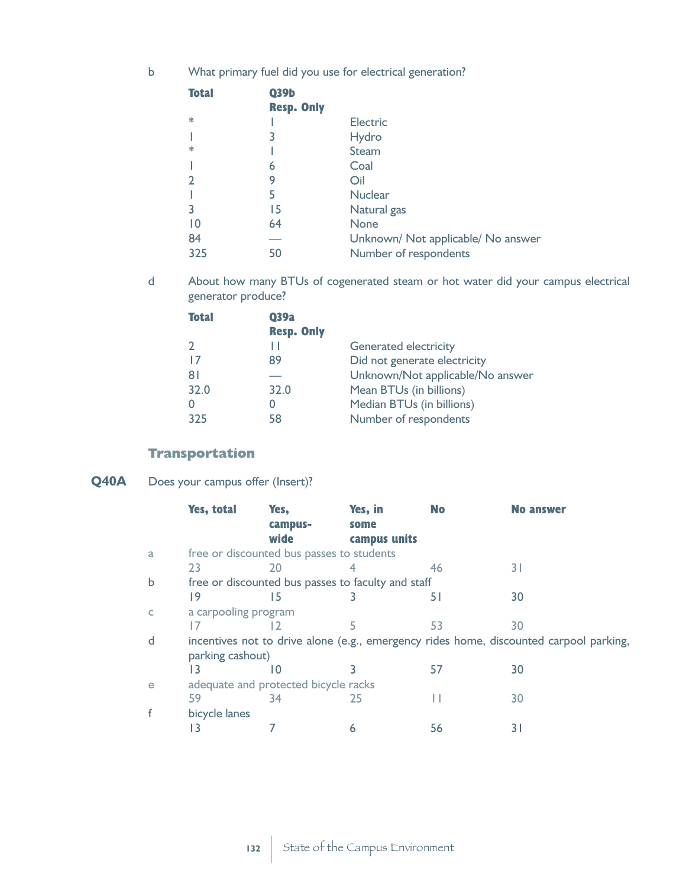b What primary fuel did you use for electrical generation?

| Q39b              |                                    |
|-------------------|------------------------------------|
| <b>Resp. Only</b> |                                    |
|                   | <b>Electric</b>                    |
| 3                 | Hydro                              |
|                   | <b>Steam</b>                       |
| 6                 | Coal                               |
| 9                 | Oil                                |
| 5                 | <b>Nuclear</b>                     |
| 15                | Natural gas                        |
| 64                | <b>None</b>                        |
|                   | Unknown/ Not applicable/ No answer |
| 50                | Number of respondents              |
|                   |                                    |

d About how many BTUs of cogenerated steam or hot water did your campus electrical generator produce?

| <b>Total</b> | Q39a              |                                  |
|--------------|-------------------|----------------------------------|
|              | <b>Resp. Only</b> |                                  |
|              |                   | <b>Generated electricity</b>     |
| 17           | 89                | Did not generate electricity     |
| 81           |                   | Unknown/Not applicable/No answer |
| 32.0         | 32.0              | Mean BTUs (in billions)          |
|              |                   | Median BTUs (in billions)        |
| 325          | 58                | Number of respondents            |

## **Transportation**

**Q40A** Does your campus offer (Insert)?

|   | Yes, total           | Yes,                                               | Yes, in      | <b>No</b> | <b>No answer</b>                                                                       |
|---|----------------------|----------------------------------------------------|--------------|-----------|----------------------------------------------------------------------------------------|
|   |                      | campus-                                            | some         |           |                                                                                        |
|   |                      | wide                                               | campus units |           |                                                                                        |
| a |                      | free or discounted bus passes to students          |              |           |                                                                                        |
|   | 23                   | 20                                                 |              | 46        | 3 I                                                                                    |
| b |                      | free or discounted bus passes to faculty and staff |              |           |                                                                                        |
|   | 19                   | 15                                                 |              | 51        | 30                                                                                     |
| C | a carpooling program |                                                    |              |           |                                                                                        |
|   |                      | 12                                                 |              | 53        | 30                                                                                     |
| d |                      |                                                    |              |           | incentives not to drive alone (e.g., emergency rides home, discounted carpool parking, |
|   | parking cashout)     |                                                    |              |           |                                                                                        |
|   | 13                   | 10                                                 |              | 57        | 30                                                                                     |
| e |                      | adequate and protected bicycle racks               |              |           |                                                                                        |
|   | 59                   | 34                                                 | 25           |           | 30                                                                                     |
|   | bicycle lanes        |                                                    |              |           |                                                                                        |
|   |                      |                                                    | 6            | 56        | 3 I                                                                                    |
|   |                      |                                                    |              |           |                                                                                        |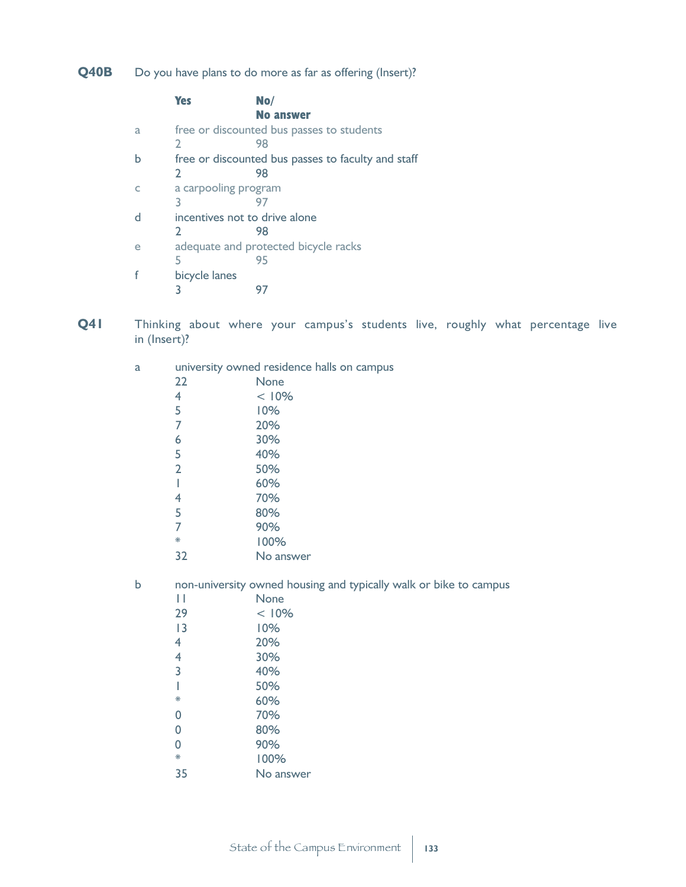**Q40B** Do you have plans to do more as far as offering (Insert)?

|   | <b>Yes</b>                    | No/                                                |
|---|-------------------------------|----------------------------------------------------|
|   |                               | No answer                                          |
| a |                               | free or discounted bus passes to students          |
|   | 2                             | 98                                                 |
| h |                               | free or discounted bus passes to faculty and staff |
|   | $\mathcal{L}$                 | 98                                                 |
|   | a carpooling program          |                                                    |
|   | 3                             | 97                                                 |
|   | incentives not to drive alone |                                                    |
|   | $\mathcal{L}$                 | 98                                                 |
| e |                               | adequate and protected bicycle racks               |
|   | 5                             | 95                                                 |
|   | bicycle lanes                 |                                                    |
|   | 3                             | 97                                                 |
|   |                               |                                                    |

**Q41** Thinking about where your campus's students live, roughly what percentage live in (Insert)?

| a |                | university owned residence halls on campus |  |  |
|---|----------------|--------------------------------------------|--|--|
|   | 22             | None                                       |  |  |
|   | 4              | < 10%                                      |  |  |
|   | 5              | 10%                                        |  |  |
|   | 7              | 20%                                        |  |  |
|   | 6              | 30%                                        |  |  |
|   | 5              | 40%                                        |  |  |
|   | $\overline{2}$ | 50%                                        |  |  |
|   |                | 60%                                        |  |  |
|   | 4              | 70%                                        |  |  |
|   | 5              | 80%                                        |  |  |
|   |                | 90%                                        |  |  |
|   | ₩              | 100%                                       |  |  |
|   | 32             | No answer                                  |  |  |
|   |                |                                            |  |  |

b non-university owned housing and typically walk or bike to campus

| Н              | None      |
|----------------|-----------|
| 29             | < 10%     |
| $\overline{1}$ | 10%       |
| 4              | 20%       |
| 4              | 30%       |
| 3              | 40%       |
| I              | 50%       |
| ₩              | 60%       |
| 0              | 70%       |
| 0              | 80%       |
| 0              | 90%       |
| ₩              | 100%      |
| 35             | No answer |
|                |           |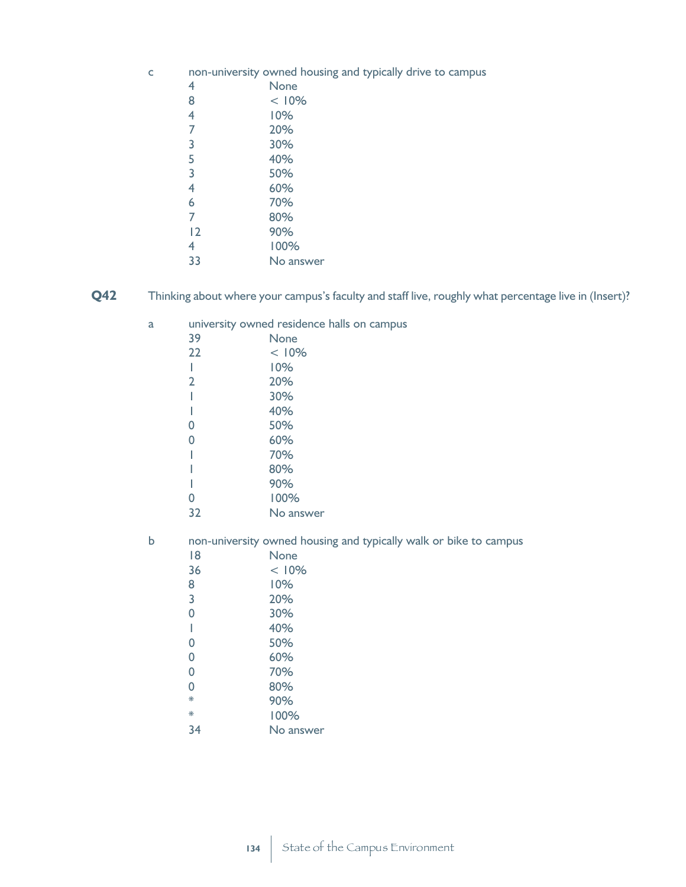c non-university owned housing and typically drive to campus

| 4              | None      |
|----------------|-----------|
| 8              | < 10%     |
| 4              | 10%       |
| $\overline{7}$ | 20%       |
| 3              | 30%       |
| 5              | 40%       |
| 3              | 50%       |
| 4              | 60%       |
| 6              | 70%       |
| 7              | 80%       |
| 12             | 90%       |
| 4              | 100%      |
| 33             | No answer |
|                |           |

- **Q42** Thinking about where your campus's faculty and staff live, roughly what percentage live in (Insert)?
	- a university owned residence halls on campus

| 39             | None      |
|----------------|-----------|
| 22             | < 10%     |
| I              | 10%       |
| $\overline{2}$ | 20%       |
| I              | 30%       |
| I              | 40%       |
| 0              | 50%       |
| 0              | 60%       |
| I              | 70%       |
|                | 80%       |
| I              | 90%       |
| 0              | 100%      |
| 32             | No answer |
|                |           |

b non-university owned housing and typically walk or bike to campus

| 18 | None      |
|----|-----------|
| 36 | < 10%     |
| 8  | 10%       |
| 3  | 20%       |
| 0  | 30%       |
| I  | 40%       |
| 0  | 50%       |
| 0  | 60%       |
| 0  | 70%       |
| 0  | 80%       |
| ∗  | 90%       |
| ∗  | 100%      |
| 34 | No answer |
|    |           |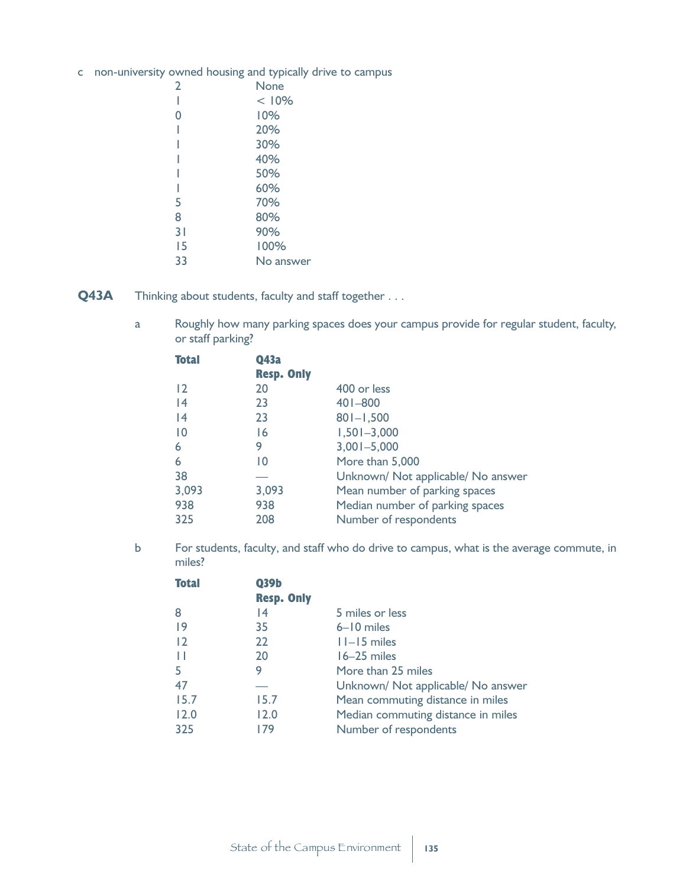c non-university owned housing and typically drive to campus

| $\overline{2}$ | None      |
|----------------|-----------|
|                | < 10%     |
| 0              | 10%       |
|                | 20%       |
|                | 30%       |
|                | 40%       |
|                | 50%       |
|                | 60%       |
| 5              | 70%       |
| 8              | 80%       |
| 31             | 90%       |
| 15             | 100%      |
| 33             | No answer |
|                |           |

- **Q43A** Thinking about students, faculty and staff together . . .
	- a Roughly how many parking spaces does your campus provide for regular student, faculty, or staff parking?

| <b>Total</b>    | Q43a              |                                    |
|-----------------|-------------------|------------------------------------|
|                 | <b>Resp. Only</b> |                                    |
| $\overline{2}$  | 20                | 400 or less                        |
| 14              | 23                | $401 - 800$                        |
| 14              | 23                | $801 - 1,500$                      |
| $\overline{10}$ | 16                | $1,501 - 3,000$                    |
| 6               | 9                 | $3,001 - 5,000$                    |
| 6               | 10                | More than 5,000                    |
| 38              |                   | Unknown/ Not applicable/ No answer |
| 3,093           | 3,093             | Mean number of parking spaces      |
| 938             | 938               | Median number of parking spaces    |
| 325             | 208               | Number of respondents              |
|                 |                   |                                    |

b For students, faculty, and staff who do drive to campus, what is the average commute, in miles?

| <b>Total</b> | Q39b              |                                    |
|--------------|-------------------|------------------------------------|
|              | <b>Resp. Only</b> |                                    |
| 8            | 14                | 5 miles or less                    |
| 9            | 35                | $6 - 10$ miles                     |
| 12           | 22                | $11-15$ miles                      |
| Ш            | 20                | $16-25$ miles                      |
| 5            | 9                 | More than 25 miles                 |
| 47           |                   | Unknown/ Not applicable/ No answer |
| 15.7         | 15.7              | Mean commuting distance in miles   |
| 12.0         | 12.0              | Median commuting distance in miles |
| 325          | 179               | Number of respondents              |